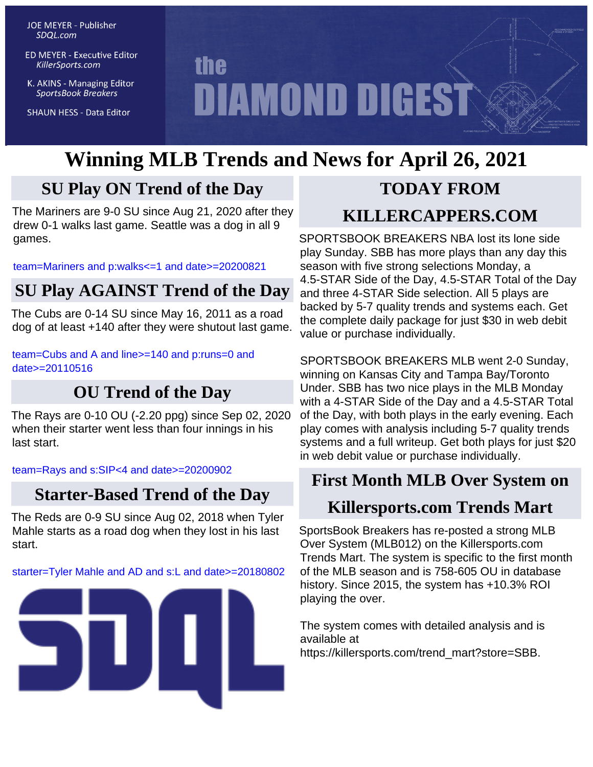**JOE MEYER - Publisher** SDQL.com

**ED MEYER - Executive Editor** KillerSports.com

K. AKINS - Managing Editor **SportsBook Breakers** 

**SHAUN HESS - Data Editor** 

# **the DIAMOND DIGEST**

## **Winning MLB Trends and News for April 26, 2021**

## **SU Play ON Trend of the Day**

The Mariners are 9-0 SU since Aug 21, 2020 after they drew 0-1 walks last game. Seattle was a dog in all 9 games.

[team=Mariners and p:walks<=1 and date>=20200821](http://KillerSports.com/mlb/query?sdql=team%3DMariners%20and%20p%3Awalks%3C%3D1%20and%20date%3E%3D20200821)

## **SU Play AGAINST Trend of the Day**

The Cubs are 0-14 SU since May 16, 2011 as a road dog of at least +140 after they were shutout last game.

[team=Cubs and A and line>=140 and p:runs=0 and](http://KillerSports.com/mlb/query?sdql=team%3DCubs%20and%20A%20and%20line%3E%3D140%20and%20p%3Aruns%3D0%20and%20date%3E%3D20110516) [date>=20110516](http://KillerSports.com/mlb/query?sdql=team%3DCubs%20and%20A%20and%20line%3E%3D140%20and%20p%3Aruns%3D0%20and%20date%3E%3D20110516)

## **OU Trend of the Day**

The Rays are 0-10 OU (-2.20 ppg) since Sep 02, 2020 when their starter went less than four innings in his last start.

[team=Rays and s:SIP<4 and date>=20200902](http://KillerSports.com/mlb/query?sdql=team%3DRays%20and%20s%3ASIP%3C4%20and%20date%3E%3D20200902)

## **Starter-Based Trend of the Day**

The Reds are 0-9 SU since Aug 02, 2018 when Tyler Mahle starts as a road dog when they lost in his last start.

[starter=Tyler Mahle and AD and s:L and date>=20180802](http://KillerSports.com/mlb/query?sdql=starter%3DTyler%20Mahle%20and%20AD%20and%20s%3AL%20and%20date%3E%3D20180802)



## **TODAY FROM KILLERCAPPERS.COM**

SPORTSBOOK BREAKERS NBA lost its lone side play Sunday. SBB has more plays than any day this season with five strong selections Monday, a 4.5-STAR Side of the Day, 4.5-STAR Total of the Day and three 4-STAR Side selection. All 5 plays are backed by 5-7 quality trends and systems each. Get the complete daily package for just \$30 in web debit value or purchase individually.

SPORTSBOOK BREAKERS MLB went 2-0 Sunday, winning on Kansas City and Tampa Bay/Toronto Under. SBB has two nice plays in the MLB Monday with a 4-STAR Side of the Day and a 4.5-STAR Total of the Day, with both plays in the early evening. Each play comes with analysis including 5-7 quality trends systems and a full writeup. Get both plays for just \$20 in web debit value or purchase individually.

## **First Month MLB Over System on**

## **Killersports.com Trends Mart**

SportsBook Breakers has re-posted a strong MLB Over System (MLB012) on the Killersports.com Trends Mart. The system is specific to the first month of the MLB season and is 758-605 OU in database history. Since 2015, the system has +10.3% ROI playing the over.

The system comes with detailed analysis and is available at https://killersports.com/trend\_mart?store=SBB.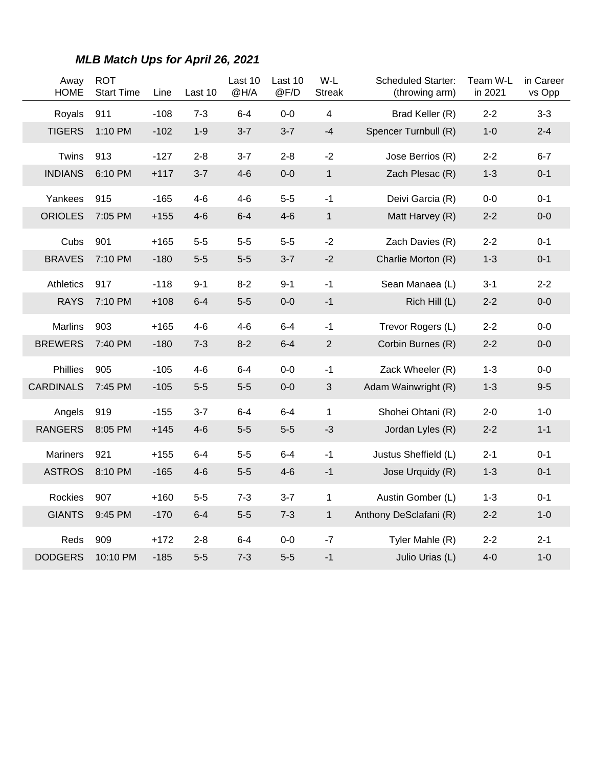| Away<br><b>HOME</b>      | <b>ROT</b><br><b>Start Time</b> | Line             | Last 10          | Last 10<br>@H/A  | Last 10<br>@F/D    | W-L<br><b>Streak</b> | <b>Scheduled Starter:</b><br>(throwing arm) | Team W-L<br>in 2021 | in Career<br>vs Opp |
|--------------------------|---------------------------------|------------------|------------------|------------------|--------------------|----------------------|---------------------------------------------|---------------------|---------------------|
| Royals                   | 911                             | $-108$           | $7 - 3$          | $6 - 4$          | $0-0$              | 4                    | Brad Keller (R)                             | $2 - 2$             | $3 - 3$             |
| <b>TIGERS</b>            | 1:10 PM                         | $-102$           | $1-9$            | $3 - 7$          | $3 - 7$            | $-4$                 | Spencer Turnbull (R)                        | $1 - 0$             | $2 - 4$             |
| Twins                    | 913                             | $-127$           | $2 - 8$          | $3 - 7$          | $2 - 8$            | $-2$                 | Jose Berrios (R)                            | $2 - 2$             | $6 - 7$             |
| <b>INDIANS</b>           | 6:10 PM                         | $+117$           | $3 - 7$          | $4 - 6$          | $0-0$              | $\mathbf{1}$         | Zach Plesac (R)                             | $1 - 3$             | $0 - 1$             |
| Yankees                  | 915                             | $-165$           | $4-6$            | $4 - 6$          | $5-5$              | $-1$                 | Deivi Garcia (R)                            | $0-0$               | $0 - 1$             |
| <b>ORIOLES</b>           | 7:05 PM                         | $+155$           | $4-6$            | $6 - 4$          | $4-6$              | $\mathbf{1}$         | Matt Harvey (R)                             | $2 - 2$             | $0-0$               |
| Cubs                     | 901                             | $+165$           | $5-5$            | $5-5$            | $5-5$              | $-2$                 | Zach Davies (R)                             | $2 - 2$             | $0 - 1$             |
| <b>BRAVES</b>            | 7:10 PM                         | $-180$           | $5-5$            | $5-5$            | $3 - 7$            | $-2$                 | Charlie Morton (R)                          | $1 - 3$             | $0 - 1$             |
| Athletics                | 917                             | $-118$           | $9 - 1$          | $8 - 2$          | $9 - 1$            | $-1$                 | Sean Manaea (L)                             | $3 - 1$             | $2 - 2$             |
| <b>RAYS</b>              | 7:10 PM                         | $+108$           | $6 - 4$          | $5-5$            | $0-0$              | $-1$                 | Rich Hill (L)                               | $2 - 2$             | $0-0$               |
| <b>Marlins</b>           | 903                             | $+165$           | $4-6$            | $4-6$            | $6-4$              | $-1$                 | Trevor Rogers (L)                           | $2 - 2$             | $0-0$               |
| <b>BREWERS</b>           | 7:40 PM                         | $-180$           | $7 - 3$          | $8 - 2$          | $6 - 4$            | $\mathbf{2}$         | Corbin Burnes (R)                           | $2 - 2$             | $0-0$               |
| Phillies                 | 905                             | $-105$           | $4 - 6$          | $6 - 4$          | $0 - 0$            | -1                   | Zack Wheeler (R)                            | $1 - 3$             | $0-0$               |
| <b>CARDINALS</b>         | 7:45 PM                         | $-105$           | $5-5$            | $5-5$            | $0-0$              | $\mathbf{3}$         | Adam Wainwright (R)                         | $1 - 3$             | $9-5$               |
| Angels                   | 919                             | $-155$           | $3 - 7$          | 6-4              | $6 - 4$            | $\mathbf{1}$         | Shohei Ohtani (R)                           | $2 - 0$             | $1 - 0$             |
| <b>RANGERS</b>           | 8:05 PM                         | $+145$           | $4-6$            | $5-5$            | $5-5$              | $-3$                 | Jordan Lyles (R)                            | $2 - 2$             | $1 - 1$             |
| <b>Mariners</b>          | 921                             | $+155$           | $6 - 4$          | $5-5$            | $6 - 4$            | $-1$                 | Justus Sheffield (L)                        | $2 - 1$             | $0 - 1$             |
| <b>ASTROS</b>            | 8:10 PM                         | $-165$           | $4 - 6$          | $5-5$            | $4 - 6$            | $-1$                 | Jose Urquidy (R)                            | $1 - 3$             | $0 - 1$             |
|                          | 907                             |                  |                  |                  |                    |                      |                                             |                     |                     |
| Rockies<br><b>GIANTS</b> | 9:45 PM                         | $+160$<br>$-170$ | $5-5$<br>$6 - 4$ | $7 - 3$<br>$5-5$ | $3 - 7$<br>$7 - 3$ | 1<br>1               | Austin Gomber (L)<br>Anthony DeSclafani (R) | $1 - 3$<br>$2 - 2$  | $0 - 1$<br>$1 - 0$  |
|                          |                                 |                  |                  |                  |                    |                      |                                             |                     |                     |
| Reds                     | 909                             | +172             | $2 - 8$          | 6-4              | $0-0$              | $-7$                 | Tyler Mahle (R)                             | $2 - 2$             | $2 - 1$             |
| <b>DODGERS</b>           | 10:10 PM                        | $-185$           | $5-5$            | $7 - 3$          | $5-5$              | $-1$                 | Julio Urias (L)                             | $4-0$               | $1 - 0$             |

#### **MLB Match Ups for April 26, 2021**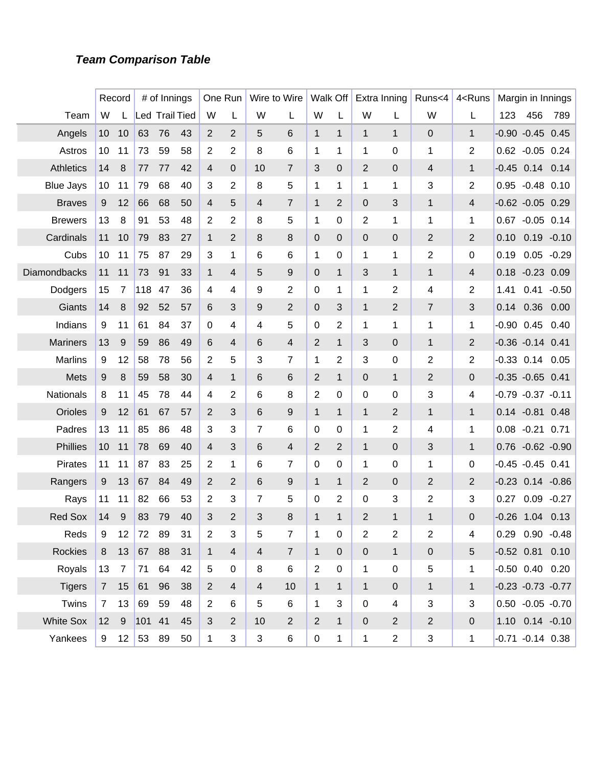#### **Team Comparison Table**

|                  |             | Record         |     | # of Innings          |    |                | One Run        |                | Wire to Wire   |                | Walk Off       |                | Extra Inning   | Runs<4         | 4 <runs< th=""><th></th><th>Margin in Innings</th><th></th></runs<> |      | Margin in Innings      |         |
|------------------|-------------|----------------|-----|-----------------------|----|----------------|----------------|----------------|----------------|----------------|----------------|----------------|----------------|----------------|---------------------------------------------------------------------|------|------------------------|---------|
| Team             | W           |                |     | <b>Led Trail Tied</b> |    | W              | L              | W              | L              | W              | L              | W              | L              | W              | L                                                                   | 123  | 456                    | 789     |
| Angels           | 10          | 10             | 63  | 76                    | 43 | 2              | 2              | 5              | 6              | $\mathbf{1}$   | $\mathbf{1}$   | $\mathbf{1}$   | $\mathbf{1}$   | 0              | $\mathbf{1}$                                                        |      | $-0.90 -0.45 0.45$     |         |
| Astros           | 10          | 11             | 73  | 59                    | 58 | 2              | 2              | 8              | 6              | 1              | 1              | 1              | 0              | 1              | 2                                                                   |      | 0.62 -0.05 0.24        |         |
| <b>Athletics</b> | 14          | 8              | 77  | 77                    | 42 | 4              | $\mathbf{0}$   | 10             | 7              | 3              | $\overline{0}$ | 2              | 0              | $\overline{4}$ | $\mathbf{1}$                                                        |      | $-0.45$ 0.14           | 0.14    |
| <b>Blue Jays</b> | 10          | 11             | 79  | 68                    | 40 | 3              | 2              | 8              | 5              | 1              | 1              | 1              | 1              | 3              | 2                                                                   |      | $0.95 -0.48 0.10$      |         |
| <b>Braves</b>    | 9           | 12             | 66  | 68                    | 50 | 4              | 5              | $\overline{4}$ | 7              | $\mathbf 1$    | 2              | 0              | 3              | $\mathbf{1}$   | 4                                                                   |      | $-0.62 -0.05$ 0.29     |         |
| <b>Brewers</b>   | 13          | 8              | 91  | 53                    | 48 | $\overline{2}$ | 2              | 8              | 5              | 1              | 0              | 2              | 1              | 1              | 1                                                                   |      | $0.67 - 0.05 0.14$     |         |
| Cardinals        | 11          | 10             | 79  | 83                    | 27 | 1              | 2              | 8              | 8              | 0              | $\mathbf 0$    | 0              | $\overline{0}$ | $\overline{2}$ | $\overline{2}$                                                      | 0.10 | $0.19 - 0.10$          |         |
| Cubs             | 10          | 11             | 75  | 87                    | 29 | 3              | 1              | 6              | 6              | 1              | 0              | 1              | 1              | 2              | 0                                                                   | 0.19 | $0.05 - 0.29$          |         |
| Diamondbacks     | 11          | 11             | 73  | 91                    | 33 | 1              | 4              | 5              | 9              | 0              | $\mathbf{1}$   | 3              | $\mathbf{1}$   | $\mathbf{1}$   | 4                                                                   | 0.18 | $-0.23$ 0.09           |         |
| Dodgers          | 15          | 7              | 118 | 47                    | 36 | 4              | 4              | 9              | $\overline{2}$ | $\mathbf 0$    | 1              | 1              | 2              | 4              | 2                                                                   | 1.41 | 0.41                   | $-0.50$ |
| Giants           | 14          | 8              | 92  | 52                    | 57 | 6              | 3              | 9              | 2              | 0              | 3              | $\mathbf{1}$   | 2              | $\overline{7}$ | 3                                                                   | 0.14 | 0.36                   | 0.00    |
| Indians          | 9           | 11             | 61  | 84                    | 37 | $\mathbf 0$    | 4              | 4              | 5              | $\mathbf 0$    | 2              | 1              | 1              | 1              | 1                                                                   |      | $-0.90$ $0.45$         | 0.40    |
| <b>Mariners</b>  | 13          | 9              | 59  | 86                    | 49 | 6              | 4              | 6              | 4              | $\overline{2}$ | $\mathbf{1}$   | 3              | $\mathbf{0}$   | $\mathbf{1}$   | $\overline{2}$                                                      |      | $-0.36 - 0.14$ 0.41    |         |
| <b>Marlins</b>   | 9           | 12             | 58  | 78                    | 56 | $\overline{2}$ | 5              | 3              | 7              | 1              | 2              | 3              | 0              | $\overline{2}$ | 2                                                                   |      | $-0.33$ $0.14$ $0.05$  |         |
| Mets             | 9           | 8              | 59  | 58                    | 30 | 4              | $\mathbf 1$    | 6              | 6              | $\overline{2}$ | $\mathbf{1}$   | 0              | $\mathbf{1}$   | $\overline{2}$ | 0                                                                   |      | $-0.35 - 0.65 0.41$    |         |
| Nationals        | 8           | 11             | 45  | 78                    | 44 | 4              | 2              | 6              | 8              | 2              | 0              | 0              | 0              | 3              | 4                                                                   |      | $-0.79 - 0.37 - 0.11$  |         |
| Orioles          | 9           | 12             | 61  | 67                    | 57 | 2              | 3              | 6              | 9              | $\mathbf{1}$   | $\mathbf{1}$   | $\mathbf{1}$   | 2              | $\mathbf{1}$   | $\mathbf{1}$                                                        |      | $0.14 - 0.81$          | 0.48    |
| Padres           | 13          | 11             | 85  | 86                    | 48 | 3              | 3              | 7              | 6              | 0              | 0              | 1              | 2              | 4              | 1                                                                   |      | $0.08 - 0.21$          | 0.71    |
| Phillies         | 10          | 11             | 78  | 69                    | 40 | 4              | 3              | 6              | 4              | $\overline{2}$ | 2              | $\mathbf{1}$   | 0              | 3              | $\mathbf{1}$                                                        |      | $0.76 - 0.62 - 0.90$   |         |
| <b>Pirates</b>   | 11          | 11             | 87  | 83                    | 25 | 2              | 1              | 6              | 7              | 0              | 0              | 1              | 0              | 1              | 0                                                                   |      | $-0.45 -0.45 0.41$     |         |
| Rangers          | 9           | 13             | 67  | 84                    | 49 | 2              | $\overline{2}$ | 6              | 9              | $\mathbf{1}$   | $\mathbf{1}$   | 2              | 0              | $\overline{2}$ | $\overline{2}$                                                      |      | $-0.23$ $0.14$ $-0.86$ |         |
| Rays             | 11          | 11             | 82  | 66                    | 53 | 2              | 3              | 7              | 5              | 0              | 2              | 0              | 3              | $\overline{2}$ | 3                                                                   | 0.27 | 0.09                   | $-0.27$ |
| <b>Red Sox</b>   | 14          | 9              | 83  | 79                    | 40 | 3              | $\overline{2}$ | 3              | 8              | $\mathbf{1}$   | 1              | $\overline{2}$ | 1              | 1              | 0                                                                   |      | $-0.26$ 1.04           | 0.13    |
| Reds             | 9           | 12             | 72  | 89                    | 31 | $\overline{2}$ | 3              | 5              | $\overline{7}$ | 1              | $\mathbf 0$    | $\overline{2}$ | $\mathbf{2}$   | $\overline{c}$ | 4                                                                   |      | $0.29$ $0.90$ $-0.48$  |         |
| <b>Rockies</b>   | 8           | 13             | 67  | 88                    | 31 | $\mathbf{1}$   | $\overline{4}$ | $\overline{4}$ | $\overline{7}$ | $\mathbf{1}$   | $\mathbf 0$    | $\overline{0}$ | $\mathbf{1}$   | $\pmb{0}$      | 5                                                                   |      | $-0.52$ 0.81 0.10      |         |
| Royals           | 13          | $\overline{7}$ | 71  | 64                    | 42 | 5              | $\mathbf 0$    | 8              | 6              | $\overline{2}$ | $\mathbf 0$    | $\mathbf 1$    | $\mathbf 0$    | 5              | 1                                                                   |      | $-0.50$ $0.40$ $0.20$  |         |
| <b>Tigers</b>    |             | 7 15           | 61  | 96                    | 38 | $\overline{2}$ | $\overline{4}$ | $\overline{4}$ | 10             | $\mathbf{1}$   | $\mathbf{1}$   | $\mathbf{1}$   | $\mathbf{0}$   | $\mathbf{1}$   | $\mathbf{1}$                                                        |      | $-0.23 -0.73 -0.77$    |         |
| Twins            | $7^{\circ}$ | 13             | 69  | 59                    | 48 | $\overline{2}$ | 6              | 5              | 6              | $\mathbf 1$    | 3              | $\mathbf 0$    | $\overline{4}$ | 3              | 3                                                                   |      | $0.50 - 0.05 - 0.70$   |         |
| <b>White Sox</b> | 12          | 9              | 101 | 41                    | 45 | 3              | $\overline{2}$ | 10             | $\overline{2}$ | $\overline{2}$ | $\mathbf{1}$   | $\overline{0}$ | $\overline{2}$ | $\overline{c}$ | $\mathbf 0$                                                         |      | 1.10 0.14 -0.10        |         |
| Yankees          | 9           | 12             | 53  | 89                    | 50 | 1              | 3              | 3              | 6              | $\pmb{0}$      | 1              | $\mathbf{1}$   | $\overline{2}$ | 3              | 1                                                                   |      | $-0.71 - 0.14$ 0.38    |         |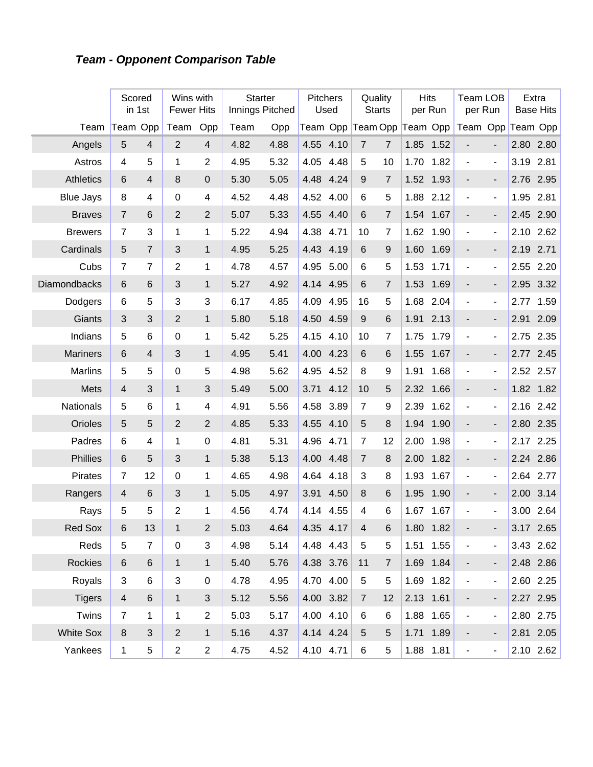## **Team - Opponent Comparison Table**

|                  | Scored          | in 1st         | Wins with<br><b>Fewer Hits</b> |                | <b>Starter</b><br>Innings Pitched |      | Pitchers  | Used      | Quality<br><b>Starts</b>   |                  |           | <b>Hits</b><br>per Run | <b>Team LOB</b><br>per Run |                          |      | Extra<br><b>Base Hits</b> |
|------------------|-----------------|----------------|--------------------------------|----------------|-----------------------------------|------|-----------|-----------|----------------------------|------------------|-----------|------------------------|----------------------------|--------------------------|------|---------------------------|
| Team             | Team Opp        |                | Team                           | Opp            | Team                              | Opp  |           |           | Team Opp Team Opp Team Opp |                  |           |                        | Team Opp Team Opp          |                          |      |                           |
| Angels           | 5               | $\overline{4}$ | $\overline{2}$                 | $\overline{4}$ | 4.82                              | 4.88 | 4.55      | 4.10      | $\overline{7}$             | $\overline{7}$   | 1.85      | 1.52                   |                            |                          |      | 2.80 2.80                 |
| Astros           | 4               | 5              | 1                              | $\overline{2}$ | 4.95                              | 5.32 | 4.05      | 4.48      | 5                          | 10               | 1.70      | 1.82                   | $\blacksquare$             | $\overline{\phantom{a}}$ | 3.19 | 2.81                      |
| <b>Athletics</b> | 6               | $\overline{4}$ | 8                              | $\overline{0}$ | 5.30                              | 5.05 | 4.48      | 4.24      | 9                          | 7                | 1.52      | 1.93                   | $\overline{\phantom{a}}$   | $\overline{\phantom{0}}$ | 2.76 | 2.95                      |
| <b>Blue Jays</b> | 8               | 4              | 0                              | 4              | 4.52                              | 4.48 | 4.52      | 4.00      | 6                          | $\overline{5}$   | 1.88      | 2.12                   | $\blacksquare$             | $\overline{\phantom{a}}$ | 1.95 | 2.81                      |
| <b>Braves</b>    | $\overline{7}$  | 6              | $\overline{2}$                 | $\overline{2}$ | 5.07                              | 5.33 | 4.55      | 4.40      | 6                          | $\overline{7}$   | 1.54      | 1.67                   |                            | $\overline{\phantom{0}}$ | 2.45 | 2.90                      |
| <b>Brewers</b>   | $\overline{7}$  | 3              | 1                              | 1              | 5.22                              | 4.94 | 4.38      | 4.71      | 10                         | 7                | 1.62      | 1.90                   | $\blacksquare$             | $\overline{\phantom{a}}$ | 2.10 | 2.62                      |
| Cardinals        | 5               | $\overline{7}$ | 3                              | $\mathbf{1}$   | 4.95                              | 5.25 | 4.43      | 4.19      | 6                          | 9                | 1.60      | 1.69                   | $\overline{a}$             | $\overline{\phantom{0}}$ | 2.19 | 2.71                      |
| Cubs             | $\overline{7}$  | $\overline{7}$ | $\overline{2}$                 | 1              | 4.78                              | 4.57 | 4.95      | 5.00      | 6                          | 5                | 1.53      | 1.71                   | $\blacksquare$             | $\blacksquare$           | 2.55 | 2.20                      |
| Diamondbacks     | $6\phantom{1}$  | 6              | 3                              | $\mathbf{1}$   | 5.27                              | 4.92 | 4.14      | 4.95      | 6                          | $\overline{7}$   | 1.53      | 1.69                   | $\overline{a}$             | $\overline{\phantom{0}}$ | 2.95 | 3.32                      |
| Dodgers          | 6               | 5              | 3                              | 3              | 6.17                              | 4.85 | 4.09      | 4.95      | 16                         | $\overline{5}$   | 1.68      | 2.04                   | $\blacksquare$             | $\overline{\phantom{a}}$ | 2.77 | 1.59                      |
| Giants           | 3               | 3              | $\overline{2}$                 | $\mathbf{1}$   | 5.80                              | 5.18 | 4.50      | 4.59      | 9                          | 6                | 1.91      | 2.13                   | $\overline{a}$             | $\overline{\phantom{0}}$ | 2.91 | 2.09                      |
| Indians          | 5               | 6              | 0                              | 1              | 5.42                              | 5.25 | 4.15      | 4.10      | 10                         | 7                | 1.75      | 1.79                   | $\blacksquare$             | $\overline{\phantom{a}}$ | 2.75 | 2.35                      |
| <b>Mariners</b>  | 6               | $\overline{4}$ | 3                              | $\mathbf{1}$   | 4.95                              | 5.41 | 4.00      | 4.23      | 6                          | 6                | 1.55      | 1.67                   | $\overline{\phantom{a}}$   | $\overline{\phantom{0}}$ | 2.77 | 2.45                      |
| Marlins          | 5               | 5              | 0                              | 5              | 4.98                              | 5.62 | 4.95      | 4.52      | 8                          | 9                | 1.91      | 1.68                   | $\blacksquare$             | $\blacksquare$           | 2.52 | 2.57                      |
| Mets             | $\overline{4}$  | 3              | $\mathbf{1}$                   | 3              | 5.49                              | 5.00 | 3.71      | 4.12      | 10                         | 5                | 2.32      | 1.66                   | $\overline{\phantom{a}}$   | $\overline{\phantom{0}}$ |      | 1.82 1.82                 |
| <b>Nationals</b> | 5               | 6              | 1                              | 4              | 4.91                              | 5.56 | 4.58      | 3.89      | $\overline{7}$             | 9                | 2.39      | 1.62                   | $\blacksquare$             | $\overline{\phantom{a}}$ | 2.16 | 2.42                      |
| Orioles          | 5               | 5              | $\overline{2}$                 | $\overline{2}$ | 4.85                              | 5.33 | 4.55      | 4.10      | 5                          | 8                | 1.94      | 1.90                   | $\overline{a}$             | $\overline{\phantom{0}}$ | 2.80 | 2.35                      |
| Padres           | $6\phantom{1}6$ | 4              | 1                              | $\pmb{0}$      | 4.81                              | 5.31 | 4.96      | 4.71      | $\overline{7}$             | 12               | 2.00      | 1.98                   | $\blacksquare$             | $\overline{\phantom{a}}$ | 2.17 | 2.25                      |
| Phillies         | $6\phantom{1}$  | 5              | 3                              | $\mathbf{1}$   | 5.38                              | 5.13 | 4.00      | 4.48      | $\overline{7}$             | 8                | 2.00      | 1.82                   | $\overline{\phantom{a}}$   | $\overline{\phantom{0}}$ |      | 2.24 2.86                 |
| Pirates          | 7               | 12             | 0                              | 1              | 4.65                              | 4.98 | 4.64      | 4.18      | 3                          | 8                | 1.93      | 1.67                   | $\blacksquare$             | $\blacksquare$           | 2.64 | 2.77                      |
| Rangers          | 4               | 6              | 3                              | $\mathbf{1}$   | 5.05                              | 4.97 | 3.91      | 4.50      | 8                          | 6                | 1.95      | 1.90                   | $\overline{\phantom{a}}$   | $\overline{\phantom{0}}$ | 2.00 | 3.14                      |
| Rays             | 5               | 5              | $\overline{2}$                 | 1              | 4.56                              | 4.74 | 4.14      | 4.55      | 4                          | 6                | 1.67      | 1.67                   | ÷                          | $\overline{\phantom{a}}$ |      | 3.00 2.64                 |
| Red Sox          | 6               | 13             | 1                              | $\mathbf 2$    | 5.03                              | 4.64 | 4.35 4.17 |           | 4                          | 6                |           | 1.80 1.82              |                            |                          |      | 3.17 2.65                 |
| Reds             | 5               | $\overline{7}$ | $\pmb{0}$                      | 3              | 4.98                              | 5.14 |           | 4.48 4.43 | 5                          | 5                | 1.51      | 1.55                   | $\overline{\phantom{a}}$   | $\overline{\phantom{a}}$ |      | 3.43 2.62                 |
| <b>Rockies</b>   | 6               | 6              | $\mathbf{1}$                   | $\mathbf{1}$   | 5.40                              | 5.76 | 4.38 3.76 |           | 11                         | $\boldsymbol{7}$ |           | 1.69 1.84              | ۰                          | $\overline{\phantom{a}}$ |      | 2.48 2.86                 |
| Royals           | $\mathbf{3}$    | 6              | 3                              | $\mathbf 0$    | 4.78                              | 4.95 |           | 4.70 4.00 | 5                          | $\,$ 5 $\,$      |           | 1.69 1.82              | $\blacksquare$             | $\blacksquare$           |      | 2.60 2.25                 |
| <b>Tigers</b>    | $\overline{4}$  | 6              | $\mathbf{1}$                   | $\sqrt{3}$     | 5.12                              | 5.56 | 4.00 3.82 |           | $\overline{7}$             | 12               | 2.13 1.61 |                        | ٠                          | $\overline{\phantom{a}}$ |      | 2.27 2.95                 |
| Twins            | $\overline{7}$  | $\mathbf 1$    | 1                              | $\overline{2}$ | 5.03                              | 5.17 |           | 4.00 4.10 | 6                          | 6                |           | 1.88 1.65              | $\blacksquare$             | $\blacksquare$           |      | 2.80 2.75                 |
| <b>White Sox</b> | $\,8\,$         | 3              | $\overline{2}$                 | $\mathbf{1}$   | 5.16                              | 4.37 | 4.14 4.24 |           | 5                          | $\sqrt{5}$       |           | 1.71 1.89              | ۰                          | $\overline{\phantom{a}}$ |      | 2.81 2.05                 |
| Yankees          | $\mathbf{1}$    | 5              | $\overline{c}$                 | $\overline{2}$ | 4.75                              | 4.52 | 4.10 4.71 |           | 6                          | 5                |           | 1.88 1.81              | $\blacksquare$             | $\overline{\phantom{a}}$ |      | 2.10 2.62                 |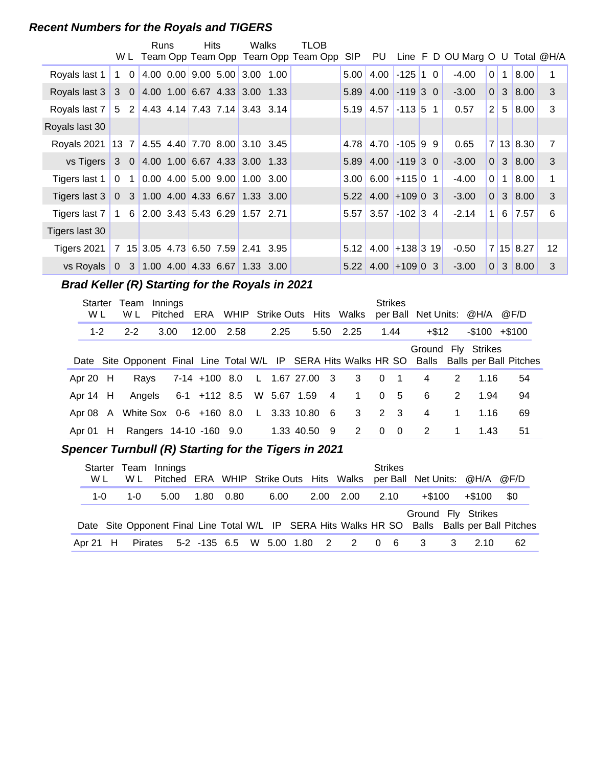#### **Recent Numbers for the Royals and TIGERS**

|                                                |              |                | Runs | <b>Hits</b> | Walks                                                                     | <b>TLOB</b>                             |                   |                       |                  |                                 |                |              |           |    |
|------------------------------------------------|--------------|----------------|------|-------------|---------------------------------------------------------------------------|-----------------------------------------|-------------------|-----------------------|------------------|---------------------------------|----------------|--------------|-----------|----|
|                                                |              |                |      |             |                                                                           | W L Team Opp Team Opp Team Opp Team Opp | SIP               | PU                    |                  | Line F D OU Marg O U Total @H/A |                |              |           |    |
| Royals last 1                                  | $\mathbf{1}$ | $\mathbf 0$    |      |             | 4.00 $0.00$ 9.00 5.00 3.00 1.00                                           |                                         | 5.00              | 4.00                  | $-125$ 1 0       | $-4.00$                         | $\overline{0}$ | $\mathbf{1}$ | 8.00      |    |
| Royals last 3                                  |              | $3\quad0$      |      |             | $ 4.00 \t1.00 \t6.67 \t4.33 \t3.00 \t1.33$                                |                                         | 5.89              |                       | $4.00$ -119 3 0  | $-3.00$                         | 0              |              | 3   8.00  | 3  |
| Royals last 7                                  |              |                |      |             | $5$ 2 4.43 4.14 7.43 7.14 3.43 3.14                                       |                                         | 5.19              | 4.57                  | $-113$ 5 1       | 0.57                            | $\overline{2}$ | $5^{\circ}$  | 8.00      | 3  |
| Royals last 30                                 |              |                |      |             |                                                                           |                                         |                   |                       |                  |                                 |                |              |           |    |
| Royals 2021 13 7 4.55 4.40 7.70 8.00 3.10 3.45 |              |                |      |             |                                                                           |                                         | 4.78              | 4.70                  | $-105$ 9 9       | 0.65                            |                |              | 7 13 8.30 | 7  |
| vs Tigers                                      |              |                |      |             | $3$ 0 4.00 1.00 6.67 4.33 3.00 1.33                                       |                                         | 5.89              | $4.00$ -119 3 0       |                  | $-3.00$                         |                |              | 0 3 8.00  | 3  |
| Tigers last 1                                  |              | 0 <sub>1</sub> |      |             | $\vert 0.00 \vert 4.00 \vert 5.00 \vert 9.00 \vert 1.00 \vert 3.00 \vert$ |                                         | 3.00 <sub>l</sub> | $6.00$ +115 0 1       |                  | -4.00                           | $\overline{0}$ | $\mathbf{1}$ | 8.00      | 1  |
| Tigers last $3 \mid$                           |              |                |      |             | $0$ 3 1.00 4.00 4.33 6.67 1.33 3.00                                       |                                         | 5.22              | $4.00 + 1090$ 3       |                  | $-3.00$                         | $\Omega$       | $\mathbf{3}$ | 8.00      | 3  |
| Tigers last 7                                  | $\mathbf{1}$ |                |      |             | $6$ 2.00 3.43 5.43 6.29 1.57 2.71                                         |                                         | 5.57              | 3.57                  | $-102$ 3 4       | $-2.14$                         | 1 <sup>1</sup> | 6            | 7.57      | 6  |
| Tigers last 30                                 |              |                |      |             |                                                                           |                                         |                   |                       |                  |                                 |                |              |           |    |
| Tigers 2021                                    |              |                |      |             | 7 15 3.05 4.73 6.50 7.59 2.41 3.95                                        |                                         | 5.12              |                       | $4.00$ +138 3 19 | $-0.50$                         |                |              | 7 15 8.27 | 12 |
| vs Royals                                      |              |                |      |             | $0$ 3 1.00 4.00 4.33 6.67 1.33 3.00                                       |                                         |                   | $5.22$ 4.00 + 109 0 3 |                  | $-3.00$                         | $\Omega$       |              | 3 8.00    | 3  |

## **Brad Keller (R) Starting for the Royals in 2021**

| Starter<br>W L | Team<br>W L                     | Innings<br>Pitched |                                   |        |              |     | ERA WHIP Strike Outs Hits Walks |                | <b>Strikes</b> | per Ball Net Units: @H/A @F/D |   |                |                                                                                               |
|----------------|---------------------------------|--------------------|-----------------------------------|--------|--------------|-----|---------------------------------|----------------|----------------|-------------------------------|---|----------------|-----------------------------------------------------------------------------------------------|
| $1 - 2$        | $2 - 2$                         | 3.00               | 12.00                             | - 2.58 | 2.25         |     | 5.50 2.25                       | 1.44           |                | $+ $12$                       |   | $-$100 + $100$ |                                                                                               |
|                |                                 |                    |                                   |        |              |     |                                 |                |                | Ground Fly Strikes            |   |                | Date Site Opponent Final Line Total W/L IP SERA Hits Walks HR SO Balls Balls per Ball Pitches |
| Apr 20 $H$     | Rays                            |                    |                                   |        |              |     | 7-14 +100 8.0 L 1.67 27.00 3 3  | $0 \quad 1$    |                | 4                             | 2 | 1.16           | 54                                                                                            |
| Apr 14 H       |                                 |                    | Angels 6-1 +112 8.5 W 5.67 1.59 4 |        |              |     | $\overline{1}$                  | 0 <sub>5</sub> |                | -6                            | 2 | 1.94           | 94                                                                                            |
|                | Apr 08 A White Sox 0-6 +160 8.0 |                    |                                   |        | L 3.33 10.80 | - 6 | $\overline{\mathbf{3}}$         | 2 3            |                | 4                             | 1 | 1.16           | 69                                                                                            |
| Apr $01$ H     |                                 |                    | Rangers 14-10 -160 9.0            |        | 1.33 40.50   | 9   | 2                               | $0\quad 0$     |                | 2                             | 1 | 1.43           | 51                                                                                            |

## Spencer Turnbull (R) Starting for the Tigers in 2021

| Starter<br>W L | W L              | Team Innings<br>Pitched ERA WHIP Strike Outs Hits Walks per Ball Net Units: @H/A @F/D |      |      |      |  |                                    | <b>Strikes</b> |          |          |                    |                                                                                               |
|----------------|------------------|---------------------------------------------------------------------------------------|------|------|------|--|------------------------------------|----------------|----------|----------|--------------------|-----------------------------------------------------------------------------------------------|
| $1 - 0$        | 1-0              | 5.00                                                                                  | 1.80 | 0.80 | 6.00 |  | 2.00 2.00 2.10                     |                | $+\$100$ |          | +\$100             | \$0                                                                                           |
|                |                  |                                                                                       |      |      |      |  |                                    |                |          |          | Ground Fly Strikes | Date Site Opponent Final Line Total W/L IP SERA Hits Walks HR SO Balls Balls per Ball Pitches |
|                | Apr 21 H Pirates |                                                                                       |      |      |      |  | 5-2 -135 6.5 W 5.00 1.80 2 2 0 6 3 |                |          | $\sim$ 3 | 2.10               | 62                                                                                            |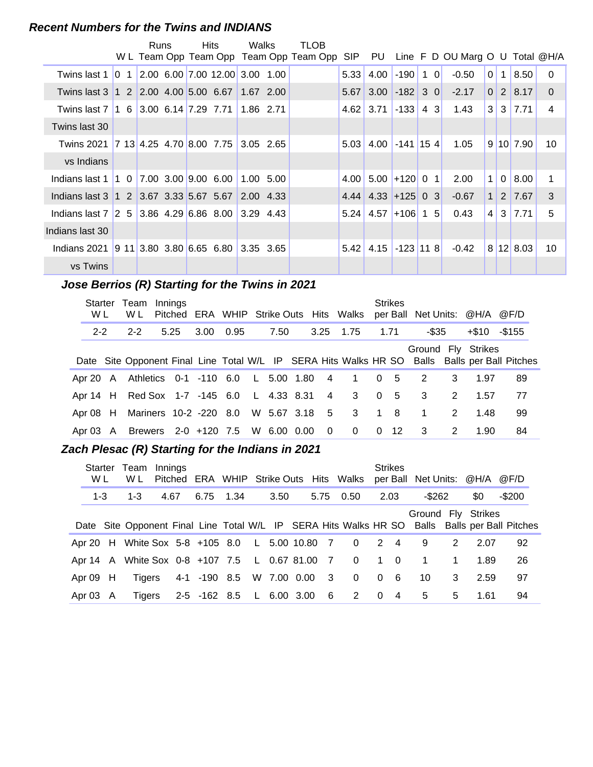#### **Recent Numbers for the Twins and INDIANS**

|                                                                                       | Runs |  | <b>Hits</b>                                                                | Walks     | TLOB                                    |      |                          |                 |            |                                 |                |                |                      |                |
|---------------------------------------------------------------------------------------|------|--|----------------------------------------------------------------------------|-----------|-----------------------------------------|------|--------------------------|-----------------|------------|---------------------------------|----------------|----------------|----------------------|----------------|
|                                                                                       |      |  |                                                                            |           | W L Team Opp Team Opp Team Opp Team Opp | SIP  | PU                       |                 |            | Line F D OU Marg O U Total @H/A |                |                |                      |                |
| Twins last $1\,$   0 $\,$ 1                                                           |      |  | $\vert 2.00 \vert 6.00 \vert 7.00 \vert 12.00 \vert 3.00 \vert 1.00 \vert$ |           |                                         | 5.33 | 4.00                     | $-190$ 1 0      |            | $-0.50$                         | 0 <sup>1</sup> | 1 <sup>1</sup> | 8.50                 | $\Omega$       |
| Twins last 3 1 2 2.00 4.00 5.00 6.67 1.67 2.00                                        |      |  |                                                                            |           |                                         | 5.67 |                          | $3.00$ -182 3 0 |            | $-2.17$                         | 0 <sup>1</sup> |                | $2 \mid 8.17$        | $\Omega$       |
| Twins last 7 1 6 3.00 6.14 7.29 7.71                                                  |      |  |                                                                            | 1.86 2.71 |                                         |      | $4.62$ 3.71 -133 4 3     |                 |            | 1.43                            |                |                | $3 \mid 3 \mid 7.71$ | $\overline{4}$ |
| Twins last 30                                                                         |      |  |                                                                            |           |                                         |      |                          |                 |            |                                 |                |                |                      |                |
| Twins 2021 7 13 4.25 4.70 8.00 7.75                                                   |      |  |                                                                            | 3.05 2.65 |                                         | 5.03 | $4.00$ -141 15 4         |                 |            | 1.05                            |                |                | 9 10 7.90            | 10             |
| vs Indians                                                                            |      |  |                                                                            |           |                                         |      |                          |                 |            |                                 |                |                |                      |                |
| Indians last 1 1 0 7.00 3.00 9.00 6.00                                                |      |  |                                                                            | 1.00 5.00 |                                         | 4.00 |                          | $5.00$ +120 0 1 |            | 2.00                            | 1 <sup>1</sup> |                | 0 8.00               | 1              |
| Indians last 3 1 2 3.67 3.33 5.67 5.67 2.00 4.33                                      |      |  |                                                                            |           |                                         |      | $4.44$ 4.33 + 125 0 3    |                 |            | $-0.67$                         | 1 <sup>1</sup> |                | 2 7.67               | 3              |
| Indians last $7 \,   2 \, 5 \,   3.86 \, 4.29 \,   6.86 \, 8.00 \,   3.29 \, 4.43 \,$ |      |  |                                                                            |           |                                         |      | $5.24$   4.57   +106   1 |                 | $\sqrt{5}$ | 0.43                            | $4 \mid$       |                | $3 \mid 7.71$        | 5              |
| Indians last 30                                                                       |      |  |                                                                            |           |                                         |      |                          |                 |            |                                 |                |                |                      |                |
| Indians 2021 9 11 3.80 3.80 6.65 6.80 3.35 3.65                                       |      |  |                                                                            |           |                                         | 5.42 | $4.15$ -123 11 8         |                 |            | $-0.42$                         |                |                | 8 12 8.03            | 10             |
| vs Twins                                                                              |      |  |                                                                            |           |                                         |      |                          |                 |            |                                 |                |                |                      |                |

## **..........Jose Berrios (R) Starting for the Twins in 2021**

| Starter<br>W L | Team<br>W L                                   | Innings |      |           |      |                         |                | <b>Strikes</b> | Pitched ERA WHIP Strike Outs Hits Walks per Ball Net Units: @H/A @F/D |   |       |                                                                                               |
|----------------|-----------------------------------------------|---------|------|-----------|------|-------------------------|----------------|----------------|-----------------------------------------------------------------------|---|-------|-----------------------------------------------------------------------------------------------|
| $2 - 2$        | $2 - 2$                                       |         | 5.25 | 3.00 0.95 | 7.50 |                         | 3.25 1.75      | 1.71           | -\$35                                                                 |   | +\$10 | -\$155                                                                                        |
|                |                                               |         |      |           |      |                         |                |                | Ground Fly Strikes                                                    |   |       | Date Site Opponent Final Line Total W/L IP SERA Hits Walks HR SO Balls Balls per Ball Pitches |
|                | Apr 20 A Athletics 0-1 -110 6.0 L 5.00 1.80 4 |         |      |           |      |                         | 1 0 5          |                | $\overline{2}$                                                        | 3 | 1.97  | 89                                                                                            |
|                | Apr 14 H Red Sox 1-7 -145 6.0 L 4.33 8.31 4   |         |      |           |      |                         | $3 \t0 \t5$    |                | $\overline{\phantom{a}}$ 3                                            | 2 | 1.57  | 77                                                                                            |
|                | Apr 08 H Mariners 10-2 -220 8.0 W 5.67 3.18 5 |         |      |           |      |                         | 3 1 8          |                | $\mathbf 1$                                                           | 2 | 1.48  | 99                                                                                            |
|                | Apr 03 A Brewers 2-0 +120 7.5 W 6.00 0.00     |         |      |           |      | $\overline{\mathbf{0}}$ | $\overline{0}$ | $0 \t12$       | $\overline{\mathbf{3}}$                                               | 2 | 1.90  | 84                                                                                            |

#### **Zach Plesac (R) Starting for the Indians in 2021**

| Starter<br>W L |   | Team<br>W L                                    | Innings |                          |  |      |                         | Pitched ERA WHIP Strike Outs Hits Walks |             | <b>Strikes</b> | per Ball Net Units: @H/A @F/D |              |      |                                                                                               |
|----------------|---|------------------------------------------------|---------|--------------------------|--|------|-------------------------|-----------------------------------------|-------------|----------------|-------------------------------|--------------|------|-----------------------------------------------------------------------------------------------|
| $1 - 3$        |   | $1 - 3$                                        | 4.67    | 6.75 1.34                |  | 3.50 |                         | 5.75 0.50                               |             | 2.03           | $-$ \$262                     |              | \$0  | $-$200$                                                                                       |
|                |   |                                                |         |                          |  |      |                         |                                         |             |                | Ground Fly Strikes            |              |      | Date Site Opponent Final Line Total W/L IP SERA Hits Walks HR SO Balls Balls per Ball Pitches |
|                |   | Apr 20 H White Sox 5-8 +105 8.0 L 5.00 10.80 7 |         |                          |  |      |                         | $\overline{\mathbf{0}}$                 |             | 2 4            | 9                             | 2            | 2.07 | 92                                                                                            |
|                |   | Apr 14 A White Sox 0-8 +107 7.5 L 0.67 81.00 7 |         |                          |  |      |                         | $\overline{\mathbf{0}}$                 | $1 \quad 0$ |                | $\overline{\phantom{1}}$      | $\mathbf{1}$ | 1.89 | 26                                                                                            |
| Apr $09$ H     |   | Tigers                                         |         | 4-1 -190 8.5 W 7.00 0.00 |  |      | $\overline{\mathbf{3}}$ | $\overline{\mathbf{0}}$                 |             | 0 <sub>6</sub> | 10                            | 3            | 2.59 | 97                                                                                            |
| Apr 03         | A | Tigers                                         |         | 2-5 -162 8.5 L 6.00 3.00 |  |      | $6\overline{6}$         | $2 \t 0$                                |             | $\overline{4}$ | 5                             | 5            | 1.61 | 94                                                                                            |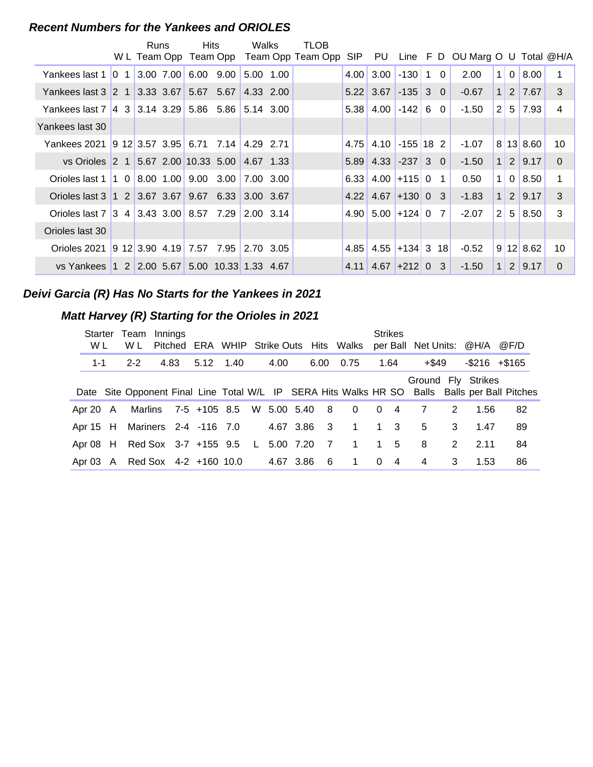#### **Recent Numbers for the Yankees and ORIOLES**

|                                                                  | Runs | Hits                        |                      | Walks     | TLOB                                    |      |                                   |                  |                |                                    |                |                |           |                 |
|------------------------------------------------------------------|------|-----------------------------|----------------------|-----------|-----------------------------------------|------|-----------------------------------|------------------|----------------|------------------------------------|----------------|----------------|-----------|-----------------|
|                                                                  |      |                             |                      |           | W L Team Opp Team Opp Team Opp Team Opp | SIP  |                                   |                  |                | PU Line F D OU Marg O U Total @H/A |                |                |           |                 |
| Yankees last 1 0 1                                               |      | $ 3.00 \t7.00  6.00 \t9.00$ |                      | 5.00 1.00 |                                         | 4.00 | 3.00                              | $-130$ 1         | $\Omega$       | 2.00                               | $\mathbf{1}$   | $\overline{0}$ | 8.00      | 1               |
| Yankees last 3 2 1 3.33 3.67                                     |      |                             | $5.67$ $5.67$        | 4.33 2.00 |                                         |      | $5.22$ 3.67 $\mid$ -135 3 0       |                  |                | $-0.67$                            | 1 <sup>1</sup> |                | 2 7.67    | 3               |
| Yankees last 7 4 3 3.14 3.29 5.86 5.86 5.14 3.00                 |      |                             |                      |           |                                         |      | $5.38$ 4.00 - 142 6               |                  | $\Omega$       | -1.50                              | $\overline{2}$ | 5              | 7.93      | 4               |
| Yankees last 30                                                  |      |                             |                      |           |                                         |      |                                   |                  |                |                                    |                |                |           |                 |
| Yankees 2021 9 12 3.57 3.95 6.71 7.14 4.29 2.71                  |      |                             |                      |           |                                         | 4.75 |                                   | $4.10$ -155 18 2 |                | $-1.07$                            |                |                | 8 13 8.60 | 10              |
| vs Orioles 2 1 5.67 2.00 10.33 5.00 4.67 1.33                    |      |                             |                      |           |                                         |      | $5.89$ 4.33 - 237 3 0             |                  |                | $-1.50$                            | 1 <sup>1</sup> |                | 2 9.17    | $\Omega$        |
| Orioles last 1   1 0   8.00 1.00   9.00 3.00   7.00 3.00         |      |                             |                      |           |                                         |      | $6.33$ 4.00 + 115 0               |                  | $\overline{1}$ | 0.50                               | 1 <sup>1</sup> | $\overline{0}$ | 8.50      | 1               |
| Orioles last 3   1   2   3.67   3.67   9.67   6.33   3.00   3.67 |      |                             |                      |           |                                         |      | $4.22$ 4.67 + 130 0 3             |                  |                | $-1.83$                            | 1              | 2              | 9.17      | 3               |
| Orioles last 7 3 4 3.43 3.00 8.57 7.29 2.00 3.14                 |      |                             |                      |           |                                         |      | $4.90 \mid 5.00 \mid +124 \mid 0$ |                  | 7              | $-2.07$                            | $\overline{2}$ | 5 <sup>1</sup> | 8.50      | 3               |
| Orioles last 30                                                  |      |                             |                      |           |                                         |      |                                   |                  |                |                                    |                |                |           |                 |
| Orioles 2021                                                     |      |                             |                      |           |                                         | 4.85 | $4.55$ +134 3                     |                  | 18 I           | $-0.52$                            |                |                | 9 12 8.62 | 10 <sup>°</sup> |
| vs Yankees 1 2 2.00 5.67                                         |      |                             | 5.00 10.33 1.33 4.67 |           |                                         |      | $4.11$ 4.67 + 212 0               |                  | 3              | $-1.50$                            | $\mathbf{1}$   | 2              | 9.17      | $\Omega$        |

#### **Deivi Garcia (R) Has No Starts for the Yankees in 2021**

#### **Matt Harvey (R) Starting for the Orioles in 2021**

| W L      | Starter Team<br>W L                       | Innings |      |                                    |  |             |                | Pitched ERA WHIP Strike Outs Hits Walks per Ball Net Units: @H/A @F/D |             | <b>Strikes</b> |                    |   |                     |                                                                                               |
|----------|-------------------------------------------|---------|------|------------------------------------|--|-------------|----------------|-----------------------------------------------------------------------|-------------|----------------|--------------------|---|---------------------|-----------------------------------------------------------------------------------------------|
| 1-1      | $2 - 2$                                   |         | 4.83 | 5.12 1.40                          |  | 4.00        |                | 6.00 0.75                                                             |             | 1.64           | +\$49              |   | $-$ \$216 $+$ \$165 |                                                                                               |
|          |                                           |         |      |                                    |  |             |                |                                                                       |             |                | Ground Fly Strikes |   |                     | Date Site Opponent Final Line Total W/L IP SERA Hits Walks HR SO Balls Balls per Ball Pitches |
| Apr 20 A |                                           |         |      | Marlins 7-5 +105 8.5 W 5.00 5.40 8 |  |             |                | $\overline{\mathbf{0}}$                                               | $0 \quad 4$ |                | 7                  | 2 | 1.56                | 82                                                                                            |
|          | Apr 15 H Mariners 2-4 -116 7.0            |         |      |                                    |  | 4.67 3.86 3 |                | 1 1 3                                                                 |             |                | 5                  | 3 | 1.47                | 89                                                                                            |
|          | Apr 08 H Red Sox 3-7 +155 9.5 L 5.00 7.20 |         |      |                                    |  |             | $\overline{7}$ | 1                                                                     |             | $1\quad 5$     | 8                  | 2 | 2.11                | 84                                                                                            |
|          | Apr 03 A Red Sox 4-2 +160 10.0            |         |      |                                    |  | 4.67 3.86   | - 6            | $\mathbf{1}$                                                          | $\Omega$    | $\overline{4}$ | 4                  | 3 | 1.53                | 86                                                                                            |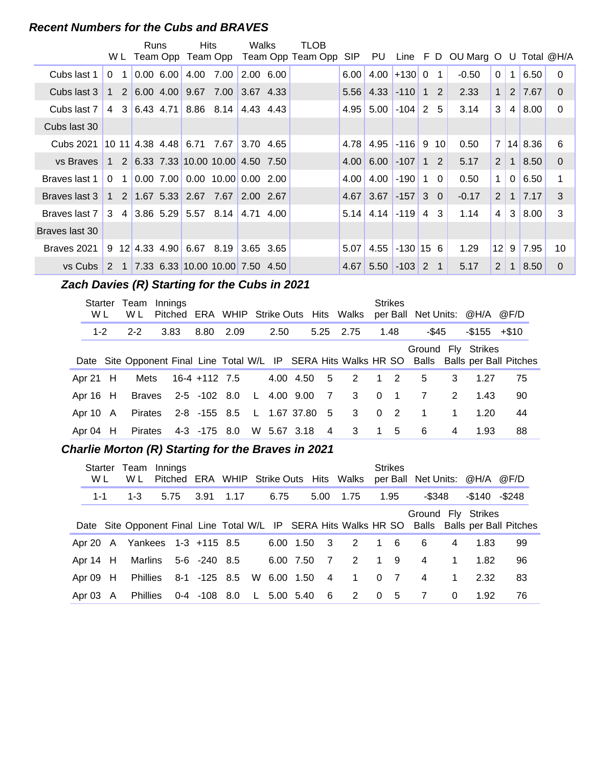#### **Recent Numbers for the Cubs and BRAVES**

|                                                                             |                | <b>Runs</b> |         | Hits                                                                       |      | Walks     | TLOB                                    |                   |             |                       |          |                 |                                     |                |                |         |              |
|-----------------------------------------------------------------------------|----------------|-------------|---------|----------------------------------------------------------------------------|------|-----------|-----------------------------------------|-------------------|-------------|-----------------------|----------|-----------------|-------------------------------------|----------------|----------------|---------|--------------|
|                                                                             |                |             |         |                                                                            |      |           | W L Team Opp Team Opp Team Opp Team Opp | SIP               | PU          |                       |          |                 | Line $F D$ OU Marg O U Total $@H/A$ |                |                |         |              |
| Cubs last 1                                                                 | 0 <sub>1</sub> |             | 0.00600 | 4.00                                                                       | 7.00 | 2.00 6.00 |                                         | 6.00              | 4.00        | $+130$                | $\Omega$ | 1               | $-0.50$                             | $\Omega$       | $\mathbf{1}$   | 6.50    | $\Omega$     |
| Cubs last 3                                                                 |                |             |         | 1 2 6.00 4.00 9.67 7.00                                                    |      | 3.67 4.33 |                                         |                   | 5.56 4.33   | $-110$ 1 2            |          |                 | 2.33                                | $\mathbf{1}$   |                | 2 7.67  | $\Omega$     |
| Cubs last 7                                                                 |                |             |         | 4 3 6.43 4.71 8.86 8.14 4.43 4.43                                          |      |           |                                         |                   | $4.95$ 5.00 | $-104$ 2              |          | -5              | 3.14                                | 3              | 4              | 8.00    | $\mathbf{0}$ |
| Cubs last 30                                                                |                |             |         |                                                                            |      |           |                                         |                   |             |                       |          |                 |                                     |                |                |         |              |
| Cubs 2021                                                                   |                |             |         | 10 11 4.38 4.48 6.71 7.67                                                  |      | 3.70 4.65 |                                         | 4.78              | 4.95        | $\left  -116 \right $ | 9        | 10 <sup>1</sup> | 0.50                                | 7 <sup>1</sup> |                | 14 8.36 | 6            |
| vs Braves 1 2 6.33 7.33 10.00 10.00 4.50 7.50                               |                |             |         |                                                                            |      |           |                                         | 4.00              | 6.00        | $-107$                | 1        | $\overline{2}$  | 5.17                                | 2              | $\mathbf{1}$   | 8.50    | $\Omega$     |
| Braves last 1                                                               | 0 <sub>1</sub> |             |         | $\vert 0.00 \vert 7.00 \vert 0.00 \vert 10.00 \vert 0.00 \vert 2.00 \vert$ |      |           |                                         | 4.00 <sub>l</sub> | 4.00        | $-190$ 1              |          | $\Omega$        | 0.50                                | $\mathbf{1}$   | $\overline{0}$ | 6.50    |              |
| Braves last 3                                                               |                |             |         | $1 \t2 \t1.67 \t5.33 \t2.67 \t7.67$                                        |      | 2.00 2.67 |                                         |                   | 4.67 3.67   | $\left  -157 \right $ |          | $3\quad0$       | $-0.17$                             | 2              | $\mathbf{1}$   | 7.17    | 3            |
| Braves last 7   3 $\,$ 4   3.86 $\,$ 5.29   5.57 $\,$ 8.14   4.71 $\,$ 4.00 |                |             |         |                                                                            |      |           |                                         |                   | $5.14$ 4.14 | $\left  -119 \right $ |          | 4 3             | 1.14                                | 4              | 3              | 8.00    | 3            |
| Braves last 30                                                              |                |             |         |                                                                            |      |           |                                         |                   |             |                       |          |                 |                                     |                |                |         |              |
| Braves 2021                                                                 |                |             |         | $9$ 12 4.33 4.90 6.67 8.19 3.65 3.65                                       |      |           |                                         | 5.07              | 4.55        | $-130$ 15 6           |          |                 | 1.29                                | 12             | 9              | 7.95    | 10           |
| vs Cubs $\begin{array}{cc} 2 & 1 \end{array}$                               |                |             |         | $\vert$ 7.33 6.33 10.00 10.00 7.50 4.50                                    |      |           |                                         | 4.67              | 5.50        | $-103$                | 2 1      |                 | 5.17                                | 2              | $\mathbf{1}$   | 8.50    | $\Omega$     |

## **Zach Davies (R) Starting for the Cubs in 2021**

| Starter<br>W L | Team<br>W L | Innings<br>Pitched ERA WHIP Strike Outs Hits Walks                                            |               |                             |      |             |                |                            |            | <b>Strikes</b> |                |                | per Ball Net Units: @H/A @F/D |    |
|----------------|-------------|-----------------------------------------------------------------------------------------------|---------------|-----------------------------|------|-------------|----------------|----------------------------|------------|----------------|----------------|----------------|-------------------------------|----|
| $1 - 2$        | $2 - 2$     | 3.83                                                                                          | 8.80          | 2.09                        | 2.50 |             |                | 5.25 2.75                  |            | 1.48           | -\$45          |                | $-$ \$155 $+$ \$10            |    |
|                |             | Date Site Opponent Final Line Total W/L IP SERA Hits Walks HR SO Balls Balls per Ball Pitches |               |                             |      |             |                |                            |            |                |                |                | Ground Fly Strikes            |    |
| Apr 21 $H$     | Mets        |                                                                                               | 16-4 +112 7.5 |                             |      | 4.00 4.50 5 |                | $\overline{2}$             | $1\quad 2$ |                | 5              | 3              | 1.27                          | 75 |
| Apr $16$ H     | Braves      |                                                                                               | 2-5 -102 8.0  |                             |      | L 4.00 9.00 | $\overline{7}$ | 3 0 1                      |            |                | 7              | 2              | 1.43                          | 90 |
| Apr 10 A       | Pirates     |                                                                                               |               | 2-8 -155 8.5 L 1.67 37.80 5 |      |             |                | 3 0 2                      |            |                | $\overline{1}$ | $\mathbf{1}$   | 1.20                          | 44 |
| Apr 04 H       | Pirates     |                                                                                               | 4-3 -175 8.0  |                             |      | W 5.67 3.18 | $\overline{4}$ | $\overline{\phantom{a}}^3$ | 1 5        |                | 6              | $\overline{4}$ | 1.93                          | 88 |

#### **..........Charlie Morton (R) Starting for the Braves in 2021**

| <b>Starter</b><br>W L | Team<br>W L                   | Innings |                  |      |             |                | Pitched ERA WHIP Strike Outs Hits Walks |                | <b>Strikes</b> | per Ball Net Units: @H/A |              |                    | @F/D                                                                                          |
|-----------------------|-------------------------------|---------|------------------|------|-------------|----------------|-----------------------------------------|----------------|----------------|--------------------------|--------------|--------------------|-----------------------------------------------------------------------------------------------|
| $1 - 1$               | $1 - 3$                       | 5.75    | 3.91             | 1.17 | 6.75        | 5.00           | 1.75                                    |                | 1.95           | -\$348                   |              | $-$140 - $248$     |                                                                                               |
|                       |                               |         |                  |      |             |                |                                         |                |                |                          |              | Ground Fly Strikes | Date Site Opponent Final Line Total W/L IP SERA Hits Walks HR SO Balls Balls per Ball Pitches |
|                       | Apr 20 A Yankees 1-3 +115 8.5 |         |                  |      | 6.00 1.50   | $\mathbf{3}$   | 2                                       |                | 1 6            | 6                        | 4            | 1.83               | 99                                                                                            |
| Apr 14 H              | Marlins                       |         | 5-6 -240 8.5     |      | 6.00 7.50   | $\overline{7}$ | 2                                       | 19             |                | 4                        | $\mathbf{1}$ | 1.82               | 96                                                                                            |
| Apr 09 H              | <b>Phillies</b>               |         | 8-1 -125 8.5     |      | W 6.00 1.50 | $\overline{4}$ | $1 \quad$                               | 0 <sub>7</sub> |                | $\overline{4}$           | $\mathbf{1}$ | 2.32               | 83                                                                                            |
| Apr $03 \text{ A}$    | <b>Phillies</b>               |         | $0-4$ $-108$ 8.0 |      | L 5.00 5.40 | - 6            | 2 0 5                                   |                |                | 7                        | $\Omega$     | 1.92               | 76                                                                                            |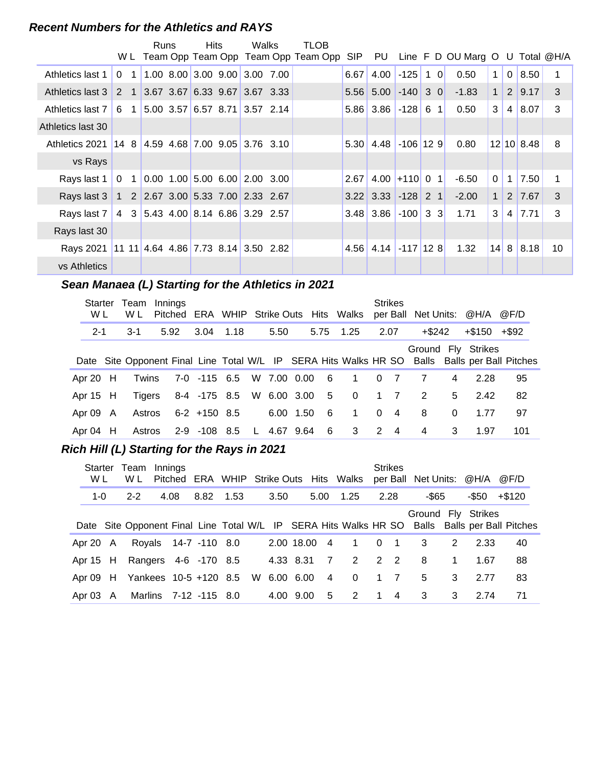#### **Recent Numbers for the Athletics and RAYS**

|                   |                |                | Runs | <b>Hits</b> | Walks                                                                         | TLOB                                    |            |                        |             |                     |                                     |              |                |               |    |
|-------------------|----------------|----------------|------|-------------|-------------------------------------------------------------------------------|-----------------------------------------|------------|------------------------|-------------|---------------------|-------------------------------------|--------------|----------------|---------------|----|
|                   |                |                |      |             |                                                                               | W L Team Opp Team Opp Team Opp Team Opp | <b>SIP</b> | PU                     |             |                     | Line $F$ D OU Marg O U Total $@H/A$ |              |                |               |    |
| Athletics last 1  | $\Omega$       | 1              |      |             | 1.00 8.00 3.00 9.00 3.00 7.00                                                 |                                         | 6.67       | 4.00                   | $-125$      | $\overline{0}$<br>1 | 0.50                                | $\mathbf{1}$ | $\mathbf 0$    | 8.50          |    |
| Athletics last 3  | 2 <sub>1</sub> |                |      |             | $3.67$ 3.67 6.33 9.67 3.67 3.33                                               |                                         |            | $5.56$ 5.00            | $-140$ 3 0  |                     | $-1.83$                             | $\mathbf{1}$ |                | 2 9.17        | 3  |
| Athletics last 7  | 6              |                |      |             | 5.00 3.57 6.57 8.71 3.57 2.14                                                 |                                         |            | $5.86$ 3.86 $-128$ 6 1 |             |                     | 0.50                                | 3            | 4 <sup>1</sup> | 8.07          | 3  |
| Athletics last 30 |                |                |      |             |                                                                               |                                         |            |                        |             |                     |                                     |              |                |               |    |
| Athletics 2021    | 14 8           |                |      |             | 4.59 4.68 7.00 9.05 3.76 3.10                                                 |                                         | 5.30       | 4.48                   | $-106$ 12 9 |                     | 0.80                                |              |                | $12$ 10 8.48  | 8  |
| vs Rays           |                |                |      |             |                                                                               |                                         |            |                        |             |                     |                                     |              |                |               |    |
| Rays last 1       | $\mathbf{0}$   | $\overline{1}$ |      |             | $0.00$ 1.00 5.00 6.00 2.00 3.00                                               |                                         | 2.67       | 4.00                   | $+110$ 0    | $\vert$ 1           | $-6.50$                             | 0            |                | $1 \mid 7.50$ | 1  |
| Rays last 3       |                |                |      |             | $1 \quad 2 \quad 2.67 \quad 3.00 \quad 5.33 \quad 7.00 \quad 2.33 \quad 2.67$ |                                         |            | $3.22$ 3.33 -128 2 1   |             |                     | $-2.00$                             | $\mathbf{1}$ | 2 <sup>1</sup> | 7.67          | 3  |
| Rays last 7       | 4              |                |      |             | 3 5.43 4.00 8.14 6.86 3.29 2.57                                               |                                         |            | $3.48$ 3.86 -100 3 3   |             |                     | 1.71                                | 3            | 4 <sup>1</sup> | 7.71          | 3  |
| Rays last 30      |                |                |      |             |                                                                               |                                         |            |                        |             |                     |                                     |              |                |               |    |
| Rays 2021         |                |                |      |             | $11$ 11 4.64 4.86 7.73 8.14 3.50 2.82                                         |                                         | 4.56       | $4.14$ -117 12 8       |             |                     | 1.32                                | 14           | 8 <sup>1</sup> | 8.18          | 10 |
| vs Athletics      |                |                |      |             |                                                                               |                                         |            |                        |             |                     |                                     |              |                |               |    |

## Sean Manaea (L) Starting for the Athletics in 2021

| <b>Starter</b><br>W L | Team<br>W L | Innings<br>Pitched                                                                            |                              |           |             |      |     | ERA WHIP Strike Outs Hits Walks |              | <b>Strikes</b> |                |          | per Ball Net Units: @H/A @F/D |     |
|-----------------------|-------------|-----------------------------------------------------------------------------------------------|------------------------------|-----------|-------------|------|-----|---------------------------------|--------------|----------------|----------------|----------|-------------------------------|-----|
| $2 - 1$               | $3-1$       | 5.92                                                                                          |                              | 3.04 1.18 | 5.50        |      |     | 5.75 1.25                       |              | 2.07           | +\$242         |          | +\$150 +\$92                  |     |
|                       |             | Date Site Opponent Final Line Total W/L IP SERA Hits Walks HR SO Balls Balls per Ball Pitches |                              |           |             |      |     |                                 |              |                |                |          | Ground Fly Strikes            |     |
| Apr 20 $H$            | Twins       |                                                                                               | 7-0 -115 6.5 W 7.00 0.00 6   |           |             |      |     | 1 0 7                           |              |                |                | 4        | 2.28                          | 95  |
| Apr $15$ H            | Tigers      |                                                                                               | 8-4 -175 8.5 W 6.00 3.00 5 0 |           |             |      |     |                                 |              | $1 \quad 7$    | 2              | 5        | 2.42                          | 82  |
| Apr 09 A              | Astros      |                                                                                               | 6-2 +150 8.5                 |           | 6.00        | 1.50 | - 6 | $\mathbf{1}$                    | $\mathbf{0}$ | $\overline{4}$ | 8              | $\Omega$ | 1.77                          | 97  |
| Apr 04 H              | Astros      |                                                                                               | 2-9 -108 8.5                 |           | L 4.67 9.64 |      | - 6 | 3                               | 2            | $\overline{4}$ | $\overline{4}$ | 3        | 1.97                          | 101 |

#### **Rich Hill (L) Starting for the Rays in 2021**

| Starter<br>W L | Team<br>W L                                | Innings |                       |      |              |                | Pitched ERA WHIP Strike Outs Hits Walks |             | <b>Strikes</b> | per Ball Net Units: @H/A |              |                    | @F/D                                                                                          |
|----------------|--------------------------------------------|---------|-----------------------|------|--------------|----------------|-----------------------------------------|-------------|----------------|--------------------------|--------------|--------------------|-----------------------------------------------------------------------------------------------|
| $1 - 0$        | $2 - 2$                                    | 4.08    | 8.82                  | 1.53 | 3.50         |                | 5.00 1.25                               |             | 2.28           | -\$65                    |              | $-$ \$50 $+$ \$120 |                                                                                               |
|                |                                            |         |                       |      |              |                |                                         |             |                | Ground Fly Strikes       |              |                    | Date Site Opponent Final Line Total W/L IP SERA Hits Walks HR SO Balls Balls per Ball Pitches |
| Apr 20 A       |                                            |         | Royals 14-7 -110 8.0  |      | 2.00 18.00 4 |                | $\mathbf 1$                             | $0 \quad 1$ |                | - 3                      | 2            | 2.33               | 40                                                                                            |
| Apr $15$ H     |                                            |         | Rangers 4-6 -170 8.5  |      | 4.33 8.31    | $\overline{7}$ | 2                                       |             | $2\quad 2$     | - 8                      | $\mathbf{1}$ | 1.67               | 88                                                                                            |
|                | Apr 09 H Yankees 10-5 +120 8.5 W 6.00 6.00 |         |                       |      |              | $\overline{4}$ | $\mathbf{0}$                            | $1 \quad 7$ |                | 5                        | 3            | 2.77               | 83                                                                                            |
| Apr $03$ A     |                                            |         | Marlins 7-12 -115 8.0 |      | 4.00 9.00    | 5              | 2                                       | $\mathbf 1$ | $\overline{4}$ | $\mathbf{3}$             | 3            | 2.74               | 71                                                                                            |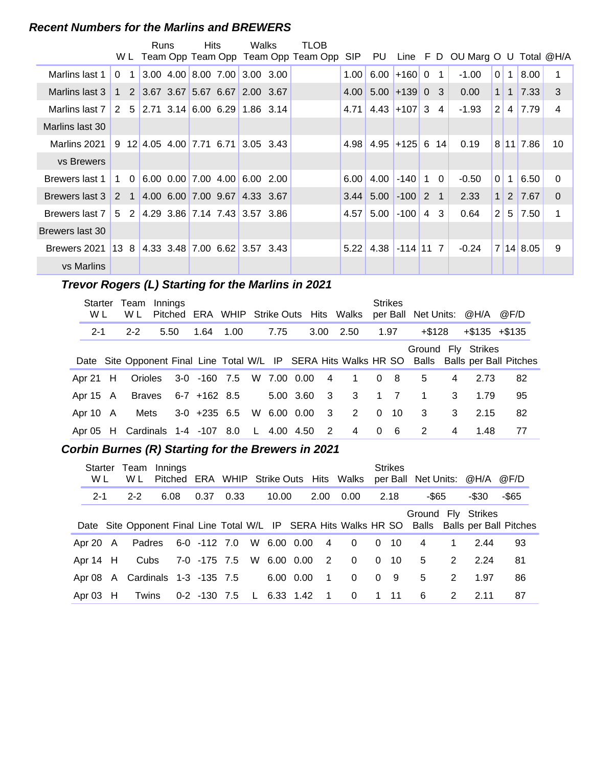#### **Recent Numbers for the Marlins and BREWERS**

|                                                                  |              |                | Runs | <b>Hits</b>         | Walks                                              | TLOB                                    |      |                                   |                  |   |                |                                     |                |                   |               |          |
|------------------------------------------------------------------|--------------|----------------|------|---------------------|----------------------------------------------------|-----------------------------------------|------|-----------------------------------|------------------|---|----------------|-------------------------------------|----------------|-------------------|---------------|----------|
|                                                                  |              |                |      |                     |                                                    | W L Team Opp Team Opp Team Opp Team Opp | SIP  | PU                                |                  |   |                | Line $F$ D OU Marg O U Total $@H/A$ |                |                   |               |          |
| Marlins last 1                                                   | $\Omega$     | $\mathbf 1$    |      |                     | $3.00$ 4.00 8.00 7.00 3.00 3.00                    |                                         | 1.00 | 6.00                              | $+160$ 0         |   | $\mathbf{1}$   | $-1.00$                             | $\Omega$       | 1 <sup>1</sup>    | 8.00          | 1        |
| Marlins last 3                                                   |              |                |      |                     | 1 2 3.67 3.67 5.67 6.67 2.00 3.67                  |                                         | 4.00 |                                   | $5.00 + 13900$ 3 |   |                | 0.00                                |                | $1 \vert 1 \vert$ | 7.33          | 3        |
| Marlins last 7                                                   |              |                |      |                     | 2 5 2.71 3.14 6.00 6.29 1.86 3.14                  |                                         |      | $4.71 \mid 4.43 \mid +107 \mid 3$ |                  |   | $\overline{4}$ | $-1.93$                             | 2 <sup>1</sup> |                   | 4 7.79        | 4        |
| Marlins last 30                                                  |              |                |      |                     |                                                    |                                         |      |                                   |                  |   |                |                                     |                |                   |               |          |
| Marlins 2021                                                     |              |                |      |                     | $9 \t12 \t4.05 \t4.00 \t7.71 \t6.71 \t3.05 \t3.43$ |                                         | 4.98 | 4.95                              | $+125$ 6         |   | 14             | 0.19                                |                |                   | 8 11 7.86     | 10       |
| vs Brewers                                                       |              |                |      |                     |                                                    |                                         |      |                                   |                  |   |                |                                     |                |                   |               |          |
| Brewers last 1                                                   | $\mathbf{1}$ | $\overline{0}$ |      | 6.00 0.00 7.00 4.00 | 6.00 2.00                                          |                                         | 6.00 | 4.00                              | $-140$ 1         |   | $\Omega$       | $-0.50$                             | $\overline{0}$ | 1 <sup>1</sup>    | 6.50          | $\Omega$ |
| Brewers last 3                                                   |              |                |      |                     | 2 1 4.00 6.00 7.00 9.67 4.33 3.67                  |                                         | 3.44 | 5.00                              | $-100$ 2         |   | $\overline{1}$ | 2.33                                | 1              |                   | $2 \mid 7.67$ | $\Omega$ |
| Brewers last 7   5   2   4.29   3.86   7.14   7.43   3.57   3.86 |              |                |      |                     |                                                    |                                         | 4.57 | 5.00                              | $-100$           | 4 | 3              | 0.64                                | 2 <sup>1</sup> |                   | 5 7.50        | 1        |
| Brewers last 30                                                  |              |                |      |                     |                                                    |                                         |      |                                   |                  |   |                |                                     |                |                   |               |          |
| Brewers 2021                                                     |              |                |      |                     | $13$ 8 4.33 3.48 7.00 6.62 3.57 3.43               |                                         | 5.22 | 4.38                              | $-114$ 11 7      |   |                | $-0.24$                             |                |                   | 7 14 8.05     | 9        |
| vs Marlins                                                       |              |                |      |                     |                                                    |                                         |      |                                   |                  |   |                |                                     |                |                   |               |          |

#### **Trevor Rogers (L) Starting for the Marlins in 2021**

| Starter<br>W L | Team<br>W L                     | Innings |                |                            |             |                         | Pitched ERA WHIP Strike Outs Hits Walks |          | <b>Strikes</b> | per Ball Net Units: @H/A |   |                     | @F/D                                                                                          |
|----------------|---------------------------------|---------|----------------|----------------------------|-------------|-------------------------|-----------------------------------------|----------|----------------|--------------------------|---|---------------------|-----------------------------------------------------------------------------------------------|
| $2 - 1$        | $2 - 2$                         | 5.50    | 1.64           | 1.00                       | 7.75        | 3.00                    | 2.50                                    |          | 1.97           | +\$128                   |   | $+$ \$135 $+$ \$135 |                                                                                               |
|                |                                 |         |                |                            |             |                         |                                         |          |                |                          |   | Ground Fly Strikes  | Date Site Opponent Final Line Total W/L IP SERA Hits Walks HR SO Balls Balls per Ball Pitches |
| Apr 21 H       | Orioles                         |         |                | 3-0 -160 7.5 W 7.00 0.00 4 |             |                         | 1 0                                     |          | - 8            | 5                        | 4 | 2.73                | 82                                                                                            |
| Apr $15$ A     | Braves                          |         | 6-7 +162 8.5   |                            |             |                         | 5.00 3.60 3 3                           |          | $1 \quad 7$    | $\overline{1}$           | 3 | 1.79                | 95                                                                                            |
| Apr 10 A       | Mets                            |         | $3-0$ +235 6.5 |                            | W 6.00 0.00 | $\overline{\mathbf{3}}$ | $2^{\circ}$                             | $\Omega$ | - 10           | $\overline{\mathbf{3}}$  | 3 | 2.15                | 82                                                                                            |
|                | Apr 05 H Cardinals 1-4 -107 8.0 |         |                |                            | L 4.00 4.50 | $\overline{2}$          | $\overline{4}$                          | $\Omega$ | - 6            | 2                        | 4 | 1.48                | 77                                                                                            |

#### **Corbin Burnes (R) Starting for the Brewers in 2021**

| Starter<br>W L | Team<br>W L                     | Innings |                  |                          |             |                | Pitched ERA WHIP Strike Outs Hits Walks |          | <b>Strikes</b> | per Ball Net Units: @H/A |   |                    | @F/D                                                                                          |
|----------------|---------------------------------|---------|------------------|--------------------------|-------------|----------------|-----------------------------------------|----------|----------------|--------------------------|---|--------------------|-----------------------------------------------------------------------------------------------|
| $2 - 1$        | $2 - 2$                         | 6.08    | 0.37             | 0.33                     | 10.00       | 2.00           | 0.00                                    |          | 2.18           | -\$65                    |   | -\$30              | $-$ \$65                                                                                      |
|                |                                 |         |                  |                          |             |                |                                         |          |                |                          |   | Ground Fly Strikes | Date Site Opponent Final Line Total W/L IP SERA Hits Walks HR SO Balls Balls per Ball Pitches |
|                | Apr 20 A Padres                 |         | 6-0 -112 7.0     |                          | W 6.00 0.00 | $\overline{4}$ | $\overline{0}$                          |          | $0\quad 10$    | $\overline{4}$           | 1 | 2.44               | 93                                                                                            |
| Apr 14 H       | Cubs                            |         |                  | 7-0 -175 7.5 W 6.00 0.00 |             | $\overline{2}$ | $\overline{\mathbf{0}}$                 | $\Omega$ | -10            | 5                        | 2 | 224                | 81                                                                                            |
|                | Apr 08 A Cardinals 1-3 -135 7.5 |         |                  |                          | 6.00 0.00   | $\overline{1}$ | $\overline{0}$                          |          | 0 <sub>9</sub> | 5                        | 2 | 1.97               | 86                                                                                            |
| Apr $03$ H     | Twins                           |         | $0-2$ $-130$ 7.5 |                          | L 6.33 1.42 | $\overline{1}$ | $\overline{0}$                          |          | 1 11           | -6                       | 2 | 2.11               | 87                                                                                            |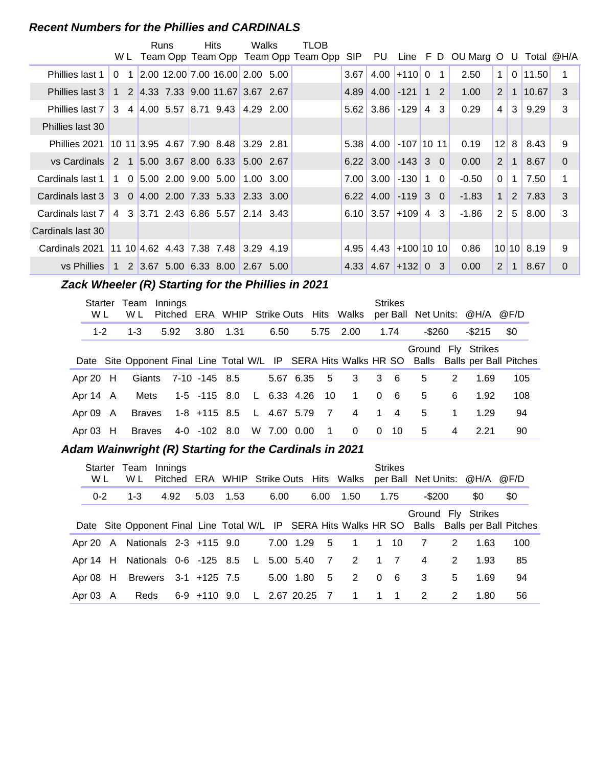#### **Recent Numbers for the Phillies and CARDINALS**

|                                                    |             |     | Runs                                                | Hits.                                                                         | Walks                                     | TLOB                                |            |                             |                   |                |                |                      |                       |                |            |          |
|----------------------------------------------------|-------------|-----|-----------------------------------------------------|-------------------------------------------------------------------------------|-------------------------------------------|-------------------------------------|------------|-----------------------------|-------------------|----------------|----------------|----------------------|-----------------------|----------------|------------|----------|
|                                                    |             | W L |                                                     |                                                                               |                                           | Team Opp Team Opp Team Opp Team Opp | <b>SIP</b> | PU                          |                   |                |                | Line F D OU Marg O U |                       |                | Total @H/A |          |
| Phillies last 1                                    | $\Omega$    | 1   |                                                     | $\big 2.00\big 12.00\big 7.00\big 16.00\big 2.00\big 5.00$                    |                                           |                                     | 3.67       | 4.00                        | $+110$            | $\overline{0}$ | $\overline{1}$ | 2.50                 | $\mathbf{1}$          |                | $0$ 11.50  |          |
| Phillies last 3                                    |             |     |                                                     | 1 2 4.33 7.33 9.00 11.67 3.67 2.67                                            |                                           |                                     | 4.89       | 4.00                        | $-121$            |                | $1\quad 2$     | 1.00                 | $\overline{2}$        | 1 <sup>1</sup> | 10.67      | -3       |
| <b>Phillies last 7</b>                             |             |     |                                                     | $3 \quad 4 \quad 4.00 \quad 5.57 \quad 8.71 \quad 9.43 \quad 4.29 \quad 2.00$ |                                           |                                     |            | $5.62 \mid 3.86$            | $-129$            | 4              | 3              | 0.29                 | 4                     | 3              | 9.29       | 3        |
| Phillies last 30                                   |             |     |                                                     |                                                                               |                                           |                                     |            |                             |                   |                |                |                      |                       |                |            |          |
| Phillies 2021                                      |             |     | $101113.95$ 4.67                                    | 7.90 8.48                                                                     | 3.29 2.81                                 |                                     | 5.38       | 4.00                        | $-107$ 10 11      |                |                | 0.19                 | 12 <sup>1</sup>       | 8              | 8.43       | 9        |
| vs Cardinals                                       | $2 \quad 1$ |     | $\vert 5.00 \vert 3.67 \vert 8.00 \vert 6.33 \vert$ |                                                                               | 5.00 2.67                                 |                                     |            | $6.22 \,   \, 3.00 \,   \,$ | $-143$ 3 0        |                |                | 0.00                 | $\overline{2}$        | $\mathbf 1$    | 8.67       | $\Omega$ |
| Cardinals last 1                                   |             |     | 1 0 5.00 2.00 9.00 5.00                             |                                                                               | 1.00 3.00                                 |                                     | 7.00       | 3.00                        | $-130$            | $\mathbf{1}$   | $\Omega$       | $-0.50$              | $\Omega$              | 1              | 7.50       |          |
| Cardinals last 3                                   |             |     |                                                     | 3 0 4.00 2.00 7.33 5.33 2.33 3.00                                             |                                           |                                     | 6.22       | 4.00                        | $-119$            |                | 3 <sub>0</sub> | $-1.83$              | $\mathbf 1$           | 2              | 7.83       | 3        |
| Cardinals last 7                                   |             |     | 4 3 3.71 2.43 6.86 5.57                             |                                                                               | $\vert 2.14 \vert 3.43 \vert$             |                                     |            | $6.10$ 3.57                 | $+109$            |                | 4 3            | -1.86                | $\overline{2}$        | 5              | 8.00       | 3        |
| Cardinals last 30                                  |             |     |                                                     |                                                                               |                                           |                                     |            |                             |                   |                |                |                      |                       |                |            |          |
| Cardinals 2021 11 10 4.62 4.43 7.38 7.48 3.29 4.19 |             |     |                                                     |                                                                               |                                           |                                     | 4.95       |                             | $4.43$ +100 10 10 |                |                | 0.86                 |                       |                | 10 10 8.19 | 9        |
| vs Phillies                                        |             |     | $1\quad 2\quad 3.67 \quad 5.00\quad 6.33\quad 8.00$ |                                                                               | $\begin{matrix} 2.67 & 5.00 \end{matrix}$ |                                     | 4.33       | 4.67                        | $ +132 $ 0 3      |                |                | 0.00                 | $\mathbf{2}^{\prime}$ | $\mathbf{1}$   | 8.67       | $\Omega$ |

#### **Zack Wheeler (R) Starting for the Phillies in 2021**

| Starter<br>W L | Team<br>W L   | Innings<br>Pitched ERA WHIP Strike Outs Hits Walks |                          |           |             |                |                |                | <b>Strikes</b> | per Ball Net Units: @H/A @F/D |   |                    |                                                                                               |
|----------------|---------------|----------------------------------------------------|--------------------------|-----------|-------------|----------------|----------------|----------------|----------------|-------------------------------|---|--------------------|-----------------------------------------------------------------------------------------------|
| $1 - 2$        | $1 - 3$       | 5.92                                               |                          | 3.80 1.31 | 6.50        | 5.75           | 2.00           |                | 1.74           | $-$ \$260                     |   | -\$215             | \$0                                                                                           |
|                |               |                                                    |                          |           |             |                |                |                |                |                               |   | Ground Fly Strikes | Date Site Opponent Final Line Total W/L IP SERA Hits Walks HR SO Balls Balls per Ball Pitches |
| Apr 20 H       |               | Giants 7-10 -145 8.5                               |                          |           | 5.67 6.35   | - 5            | $3^{\circ}$    |                | $3\quad 6$     | 5                             | 2 | 1.69               | 105                                                                                           |
| Apr 14 A       | Mets          |                                                    | 1-5 -115 8.0             |           | L 6.33 4.26 | - 10           | $\overline{1}$ | $\overline{0}$ | - 6            | 5                             | 6 | 1.92               | 108                                                                                           |
| Apr 09 A       | <b>Braves</b> |                                                    | 1-8 +115 8.5 L 4.67 5.79 |           |             | $\overline{7}$ | $\overline{4}$ | 1              | $\overline{4}$ | 5                             | 1 | 1.29               | 94                                                                                            |
| Apr $03$ H     | <b>Braves</b> |                                                    | 4-0 -102 8.0             |           | W 7.00 0.00 | $\mathbf 1$    | $\Omega$       | $\Omega$       | - 10           | 5                             | 4 | 2.21               | 90                                                                                            |

#### Adam Wainwright (R) Starting for the Cardinals in 2021

| W L      | Starter Team Innings<br>W L                   |      |                   |  |                |      | Pitched ERA WHIP Strike Outs Hits Walks | <b>Strikes</b> |                |   | per Ball Net Units: @H/A @F/D |                                                                                               |
|----------|-----------------------------------------------|------|-------------------|--|----------------|------|-----------------------------------------|----------------|----------------|---|-------------------------------|-----------------------------------------------------------------------------------------------|
| $0 - 2$  | $1 - 3$                                       | 4.92 | 5.03 1.53         |  | 6.00           | 6.00 | 1.50                                    | 1.75           | -\$200         |   | \$0                           | \$0                                                                                           |
|          |                                               |      |                   |  |                |      |                                         |                |                |   | Ground Fly Strikes            | Date Site Opponent Final Line Total W/L IP SERA Hits Walks HR SO Balls Balls per Ball Pitches |
|          | Apr 20 A Nationals 2-3 +115 9.0               |      |                   |  |                |      | 7.00 1.29 5 1                           | $1 \quad 10$   | $\overline{7}$ | 2 | 1.63                          | 100                                                                                           |
|          | Apr 14 H Nationals 0-6 -125 8.5 L 5.00 5.40 7 |      |                   |  |                |      | 2 1 7                                   |                | $\overline{4}$ | 2 | 1.93                          | 85                                                                                            |
|          | Apr 08 H Brewers 3-1 +125 7.5                 |      |                   |  | 5.00 1.80      | 5    | 2 0 6                                   |                | 3              | 5 | 1.69                          | 94                                                                                            |
| Apr 03 A |                                               |      | Reds 6-9 +110 9.0 |  | L 2.67 20.25 7 |      | 1 1 1                                   |                | $\overline{2}$ | 2 | 1.80                          | 56                                                                                            |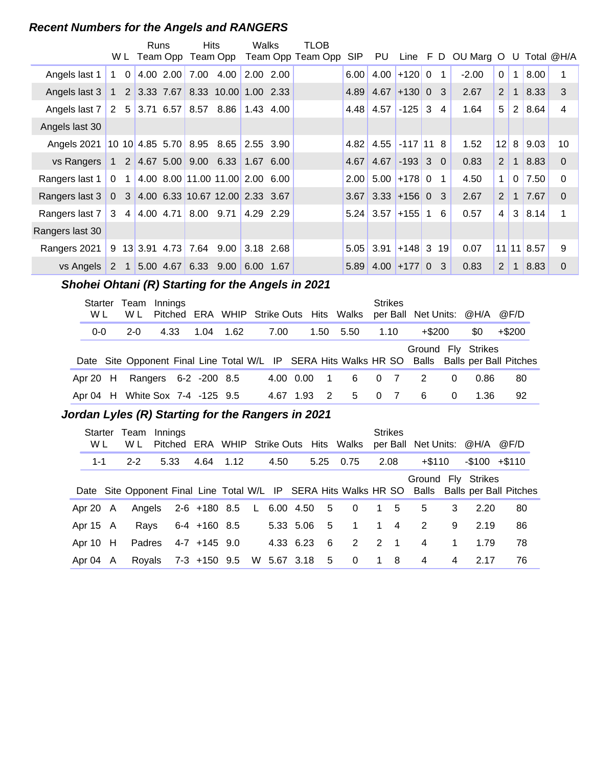#### **Recent Numbers for the Angels and RANGERS**

|                 |                | W L         | Runs |                              | Hits                                 |                                                                               | Walks          | TLOB<br>Team Opp Team Opp Team Opp Team Opp | <b>SIP</b> | PU.                   | $Line$ $F$ $D$   |              |                | OU Marg O |                | U            |                  | Total @H/A     |
|-----------------|----------------|-------------|------|------------------------------|--------------------------------------|-------------------------------------------------------------------------------|----------------|---------------------------------------------|------------|-----------------------|------------------|--------------|----------------|-----------|----------------|--------------|------------------|----------------|
| Angels last 1   | 1              | $\Omega$    |      | 4.00 2.00                    |                                      | 7.00 4.00                                                                     | 2.00 2.00      |                                             | 6.00       |                       | $4.00$ +120 0    |              | 1              | $-2.00$   | $\Omega$       | 1            | 8.00             |                |
| Angels last 3   | $\mathbf{1}$   |             |      | $2 \mid 3.33 \mid 7.67 \mid$ |                                      | 8.33 10.00 1.00 2.33                                                          |                |                                             | 4.89       |                       | $4.67$ +130 0    |              | -3             | 2.67      | 2              | 1            | 8.33             | 3              |
| Angels last 7   | $2^{\circ}$    |             |      |                              |                                      | $5 \mid 3.71 \mid 6.57 \mid 8.57 \mid 8.86 \mid 1.43 \mid 4.00$               |                |                                             |            | $4.48$ 4.57           | $-125$           | $\mathbf{3}$ | $\overline{4}$ | 1.64      | 5              | 2            | 8.64             | 4              |
| Angels last 30  |                |             |      |                              |                                      |                                                                               |                |                                             |            |                       |                  |              |                |           |                |              |                  |                |
| Angels 2021     |                |             |      |                              |                                      | 10 10 4.85 5.70 8.95 8.65 2.55 3.90                                           |                |                                             | 4.82       |                       | $4.55$ -117 11 8 |              |                | 1.52      | 12             | 8            | 9.03             | 10             |
| vs Rangers      |                |             |      |                              |                                      | $1 \quad 2 \quad 4.67 \quad 5.00 \quad 9.00 \quad 6.33 \quad 1.67 \quad 6.00$ |                |                                             | 4.67       |                       | $4.67$ -193 3 0  |              |                | 0.83      | 2              | $\mathbf{1}$ | 8.83             | $\Omega$       |
| Rangers last 1  | $\overline{0}$ | $\mathbf 1$ |      |                              |                                      | 4.00 8.00 11.00 11.00 2.00 6.00                                               |                |                                             | 2.00       |                       | $5.00$ +178 0    |              | $\mathbf 1$    | 4.50      | 1              | 0            | 7.50             | $\Omega$       |
| Rangers last 3  |                |             |      |                              |                                      | 0 3 4.00 6.33 10.67 12.00 2.33 3.67                                           |                |                                             |            | $3.67$ 3.33 + 156 0 3 |                  |              |                | 2.67      | 2              | $\mathbf{1}$ | 7.67             | $\Omega$       |
| Rangers last 7  |                | $3 \quad 4$ |      |                              | $4.00$ 4.71 8.00 9.71                |                                                                               | 4.29 2.29      |                                             |            | $5.24$ 3.57 + 155 1   |                  |              | 6              | 0.57      | $\overline{4}$ | $\mathbf{3}$ | 8.14             |                |
| Rangers last 30 |                |             |      |                              |                                      |                                                                               |                |                                             |            |                       |                  |              |                |           |                |              |                  |                |
| Rangers 2021    |                |             |      |                              | $9 \t13 \t3.91 \t4.73 \t7.64 \t9.00$ |                                                                               | $ 3.18 \t2.68$ |                                             | 5.05       | 3.91                  | $+148$ 3 19      |              |                | 0.07      |                |              | $11$   11   8.57 | 9              |
| vs Angels       | 2              |             |      | 5.00 4.67                    |                                      | 6.33 9.00 6.00 1.67                                                           |                |                                             | 5.89       |                       | $4.00$ +177 0    |              | 3              | 0.83      | 2              |              | 8.83             | $\overline{0}$ |

## Shohei Ohtani (R) Starting for the Angels in 2021

| Starter<br>W L | Team Innings<br>W L             |      |  |           |           |      |                | Pitched ERA WHIP Strike Outs Hits Walks |   | <b>Strikes</b> | per Ball Net Units: @H/A |          |      | @F/D                                                                                          |
|----------------|---------------------------------|------|--|-----------|-----------|------|----------------|-----------------------------------------|---|----------------|--------------------------|----------|------|-----------------------------------------------------------------------------------------------|
| $0 - 0$        | $2 - 0$                         | 4.33 |  | 1.04 1.62 | 7.00      |      | 1.50           | 5.50                                    |   | 1.10           | $+$ \$200                |          | \$0  | $+$ \$200                                                                                     |
|                |                                 |      |  |           |           |      |                |                                         |   |                | Ground Fly Strikes       |          |      | Date Site Opponent Final Line Total W/L IP SERA Hits Walks HR SO Balls Balls per Ball Pitches |
| Apr 20 $H$     | Rangers 6-2 -200 8.5            |      |  |           | 4.00 0.00 |      | $\blacksquare$ | 6                                       |   | 0 <sub>7</sub> | $\overline{2}$           | 0        | 0.86 | 80                                                                                            |
|                | Apr 04 H White Sox 7-4 -125 9.5 |      |  |           | 4.67      | 1.93 | 2              | 5                                       | 0 | $\overline{7}$ | -6                       | $\Omega$ | 1.36 | 92                                                                                            |

#### **..........Jordan Lyles (R) Starting for the Rangers in 2021**

| Starter<br>W L | Team<br>W L | Innings<br>Pitched                                               |                |      |      |                 |      | ERA WHIP Strike Outs Hits Walks |              | <b>Strikes</b> | per Ball Net Units: @H/A |             |                    | @F/D                         |
|----------------|-------------|------------------------------------------------------------------|----------------|------|------|-----------------|------|---------------------------------|--------------|----------------|--------------------------|-------------|--------------------|------------------------------|
| $1 - 1$        | $2 - 2$     | 5.33                                                             | 4.64           | 1.12 | 4.50 |                 | 5.25 | 0.75                            |              | 2.08           | $+\$110$                 |             | $-$100 + $110$     |                              |
|                |             | Date Site Opponent Final Line Total W/L IP SERA Hits Walks HR SO |                |      |      |                 |      |                                 |              |                |                          |             | Ground Fly Strikes | Balls Balls per Ball Pitches |
| Apr 20 A       | Angels      |                                                                  | 2-6 +180 8.5   |      |      | L 6.00 4.50 5   |      | $\overline{\mathbf{0}}$         |              | 1 5            | 5                        | 3           | 2.20               | 80                           |
| Apr 15 A       | Rays        |                                                                  | $6-4$ +160 8.5 |      |      | $5.33$ $5.06$ 5 |      | $\mathbf 1$                     | $\mathbf 1$  | $\overline{4}$ | 2                        | 9           | 2.19               | 86                           |
| Apr $10$ H     | Padres      |                                                                  | $4-7$ +145 9.0 |      |      | 4.33 6.23       | - 6  | 2                               |              | $2 \quad 1$    | 4                        | $\mathbf 1$ | 1.79               | 78                           |
| Apr 04 A       | Royals      |                                                                  | 7-3 +150 9.5   |      |      | W 5.67 3.18     | $-5$ | $\overline{\mathbf{0}}$         | $\mathbf{1}$ | - 8            | 4                        | 4           | 2.17               | 76                           |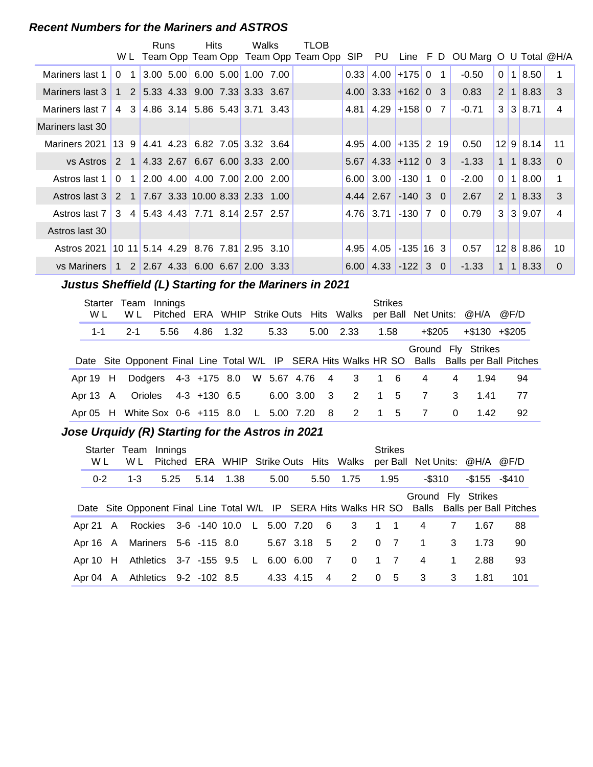#### **Recent Numbers for the Mariners and ASTROS**

|                  |             |                         | Runs | Hits                                                                          | Walks | TLOB                                    |      |                                   |                  |                |                                 |             |                        |           |          |
|------------------|-------------|-------------------------|------|-------------------------------------------------------------------------------|-------|-----------------------------------------|------|-----------------------------------|------------------|----------------|---------------------------------|-------------|------------------------|-----------|----------|
|                  |             |                         |      |                                                                               |       | W L Team Opp Team Opp Team Opp Team Opp | SIP  | PU                                |                  |                | Line F D OU Marg O U Total @H/A |             |                        |           |          |
| Mariners last 1  | $\Omega$    | $\overline{\mathbf{1}}$ |      | $3.00$ 5.00 6.00 5.00 1.00 7.00                                               |       |                                         | 0.33 | 4.00                              | $+175$ 0         | $\overline{1}$ | $-0.50$                         | $\Omega$    | $\mathbf 1$            | 8.50      |          |
| Mariners last 3  |             |                         |      | 1 2 5.33 4.33 9.00 7.33 3.33 3.67                                             |       |                                         |      | $4.00$ 3.33 + 162 0 3             |                  |                | 0.83                            | 2 1         |                        | 8.83      | 3        |
| Mariners last 7  |             |                         |      | 4 3 4.86 3.14 5.86 5.43 3.71 3.43                                             |       |                                         |      | $4.81 \mid 4.29 \mid +158 \mid 0$ |                  | 7              | $-0.71$                         | 3           |                        | 3 8.71    | 4        |
| Mariners last 30 |             |                         |      |                                                                               |       |                                         |      |                                   |                  |                |                                 |             |                        |           |          |
| Mariners 2021    | 139         |                         |      | $ 4.41 \t4.23 \t6.82 \t7.05 \t3.32 \t3.64$                                    |       |                                         | 4.95 |                                   | $4.00$ +135 2 19 |                | 0.50                            |             |                        | 12 9 8.14 | 11       |
| vs Astros        | $2 \quad 1$ |                         |      | $ 4.33 \t2.67 \t6.67 \t6.00 \t3.33 \t2.00$                                    |       |                                         | 5.67 |                                   | $4.33$ +112 0 3  |                | $-1.33$                         | $\mathbf 1$ | $\left  \cdot \right $ | 8.33      | $\Omega$ |
| Astros last 1    | $\Omega$    | $\overline{1}$          |      | $\vert 2.00 \vert 4.00 \vert 4.00 \vert 7.00 \vert 2.00 \vert 2.00$           |       |                                         | 6.00 | 3.00                              | $-130$ 1         | 0              | $-2.00$                         | $\Omega$    | l 1                    | 8.00      | 1        |
| Astros last 3    | 2 1         |                         |      | 17.67 3.33 10.00 8.33 2.33 1.00                                               |       |                                         |      | $4.44$ 2.67 - 140 3 0             |                  |                | 2.67                            | 2           |                        | 8.33      | 3        |
| Astros last 7    |             |                         |      | 3 4 5.43 4.43 7.71 8.14 2.57 2.57                                             |       |                                         |      | 4.76 3.71                         | $-130$ 7         | $\Omega$       | 0.79                            | 3           | 3                      | 9.07      | 4        |
| Astros last 30   |             |                         |      |                                                                               |       |                                         |      |                                   |                  |                |                                 |             |                        |           |          |
| Astros 2021      |             |                         |      | 10 11 5.14 4.29 8.76 7.81 2.95 3.10                                           |       |                                         | 4.95 | 4.05                              | $-135$ 16 3      |                | 0.57                            |             |                        | 12 8 8.86 | 10       |
| vs Mariners      |             |                         |      | $1 \quad 2 \quad 2.67 \quad 4.33 \quad 6.00 \quad 6.67 \quad 2.00 \quad 3.33$ |       |                                         | 6.00 | $4.33 - 122 - 3 = 0$              |                  |                | $-1.33$                         | 1           | $\blacksquare$         | 8.33      | $\Omega$ |

## **..........Justus Sheffield (L) Starting for the Mariners in 2021**

| W L      | Starter Team Innings<br>W L       |      |           |              |             |          | Pitched ERA WHIP Strike Outs Hits Walks  | <b>Strikes</b> | per Ball Net Units: @H/A |          |                    | @F/D                                                                                          |
|----------|-----------------------------------|------|-----------|--------------|-------------|----------|------------------------------------------|----------------|--------------------------|----------|--------------------|-----------------------------------------------------------------------------------------------|
| 1-1      | $2 - 1$                           | 5.56 | 4.86 1.32 |              | 5.33        |          | 5.00 2.33                                | 1.58           | +\$205                   |          | $+\$130$ $+\$205$  |                                                                                               |
|          |                                   |      |           |              |             |          |                                          |                |                          |          | Ground Fly Strikes | Date Site Opponent Final Line Total W/L IP SERA Hits Walks HR SO Balls Balls per Ball Pitches |
| Apr 19 H |                                   |      |           |              |             |          | Dodgers 4-3 +175 8.0 W 5.67 4.76 4 3 1 6 |                | 4                        | 4        | 1.94               | 94                                                                                            |
| Apr 13 A | Orioles                           |      |           | 4-3 +130 6.5 | 6.00 3.00 3 |          | $2^{\circ}$                              | 1 5            | 7                        | 3        | 1.41               | 77                                                                                            |
|          | Apr 05 H White Sox 0-6 +115 8.0 L |      |           |              | 5.00 7.20   | $\sim$ 8 | 2                                        | 1 5            | 7                        | $\Omega$ | 1.42               | 92                                                                                            |

#### **..........Jose Urquidy (R) Starting for the Astros in 2021**

| <b>Starter</b><br>W L | Team<br>W L                                | Innings |      |           |           |                |                   |                | <b>Strikes</b> |                         |                | Pitched ERA WHIP Strike Outs Hits Walks per Ball Net Units: @H/A @F/D |                                                                                               |
|-----------------------|--------------------------------------------|---------|------|-----------|-----------|----------------|-------------------|----------------|----------------|-------------------------|----------------|-----------------------------------------------------------------------|-----------------------------------------------------------------------------------------------|
| $0 - 2$               | 1-3                                        |         | 5.25 | 5.14 1.38 | 5.00      |                | 5.50 1.75         |                | 1.95           | -\$310                  |                | -\$155 -\$410                                                         |                                                                                               |
|                       |                                            |         |      |           |           |                |                   |                |                |                         |                | Ground Fly Strikes                                                    | Date Site Opponent Final Line Total W/L IP SERA Hits Walks HR SO Balls Balls per Ball Pitches |
|                       | Apr 21 A Rockies 3-6 -140 10.0 L 5.00 7.20 |         |      |           |           |                | 6 3 1 1           |                |                | $\overline{4}$          | $\overline{7}$ | 1.67                                                                  | 88                                                                                            |
|                       | Apr 16 A Mariners 5-6 -115 8.0             |         |      |           |           |                | 5.67 3.18 5 2 0 7 |                |                | $1 \quad 3$             |                | 1.73                                                                  | 90                                                                                            |
|                       | Apr 10 H Athletics 3-7 -155 9.5 L          |         |      |           | 6.00 6.00 | $\overline{7}$ | $\overline{0}$    | $1 \quad 7$    |                | $\overline{4}$          | $\mathbf{1}$   | 2.88                                                                  | 93                                                                                            |
|                       | Apr 04 A Athletics 9-2 -102 8.5            |         |      |           | 4.33 4.15 | $\overline{4}$ | 2                 | 0 <sub>5</sub> |                | $\overline{\mathbf{3}}$ | 3              | 1.81                                                                  | 101                                                                                           |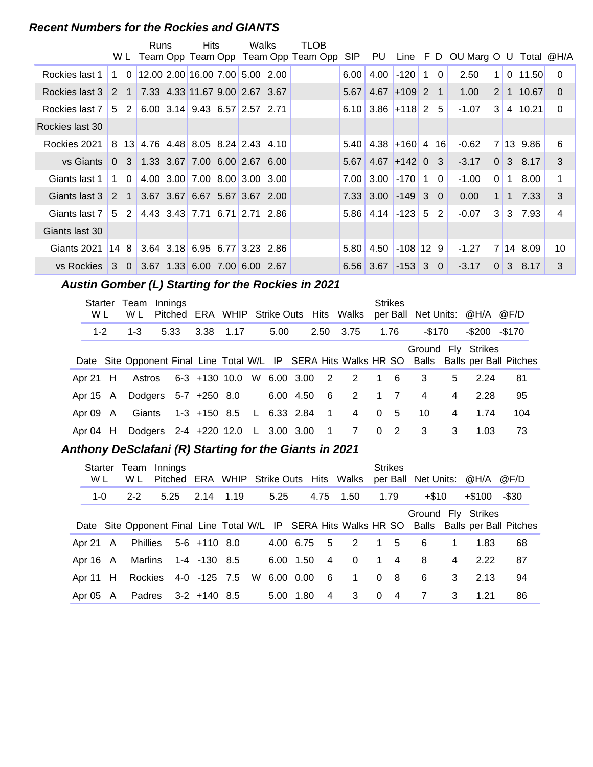#### **Recent Numbers for the Rockies and GIANTS**

|                                              |             |           | Runs | <b>Hits</b>                          | Walks | TLOB                                    |      |                             |            |             |                |                                        |                |             |                      |                 |
|----------------------------------------------|-------------|-----------|------|--------------------------------------|-------|-----------------------------------------|------|-----------------------------|------------|-------------|----------------|----------------------------------------|----------------|-------------|----------------------|-----------------|
|                                              |             |           |      |                                      |       | W L Team Opp Team Opp Team Opp Team Opp |      |                             |            |             |                | SIP PU Line F D OU Marg O U Total @H/A |                |             |                      |                 |
| Rockies last 1                               | $\mathbf 1$ | $\Omega$  |      | $12.00$ 2.00 16.00 7.00 5.00 2.00    |       |                                         | 6.00 | 4.00                        | $-120$     | $\mathbf 1$ | $\mathbf{0}$   | 2.50                                   | 1 <sup>1</sup> | $\Omega$    | 11.50                | $\Omega$        |
| Rockies last 3                               |             |           |      | 2 1 7.33 4.33 11.67 9.00 2.67 3.67   |       |                                         |      | $5.67$ 4.67 + 109 2 1       |            |             |                | 1.00                                   |                |             | 2 1 1 1 0.67         | $\Omega$        |
| Rockies last 7                               |             | $5\quad2$ |      | 6.00 3.14 9.43 6.57 2.57 2.71        |       |                                         |      | $6.10$ 3.86 + 118 2 5       |            |             |                | $-1.07$                                | 3 <sup>1</sup> |             | 4 10.21              | $\mathbf{0}$    |
| Rockies last 30                              |             |           |      |                                      |       |                                         |      |                             |            |             |                |                                        |                |             |                      |                 |
| Rockies 2021                                 |             |           |      | 8 13 4.76 4.48 8.05 8.24 2.43 4.10   |       |                                         |      | $5.40$ 4.38 + 160 4 16      |            |             |                | $-0.62$                                |                |             | 7 13 9.86            | 6               |
| vs Giants                                    |             |           |      | $0$ 3 1.33 3.67 7.00 6.00 2.67 6.00  |       |                                         |      | $5.67$ 4.67 + 142 0 3       |            |             |                | $-3.17$                                |                |             | $0 \mid 3 \mid 8.17$ | 3               |
| Giants last 1                                |             | 1 0       |      | 4.00 3.00 7.00 8.00 3.00 3.00        |       |                                         |      | $7.00$ 3.00 -170 1 0        |            |             |                | $-1.00$                                | 0 <sup>1</sup> | 1           | 8.00                 | 1               |
| Giants last 3                                |             |           |      | 2 1 3.67 3.67 6.67 5.67 3.67 2.00    |       |                                         |      | $7.33$ 3.00 $-149$ 3 0      |            |             |                | 0.00                                   | 1 <sup>1</sup> | $\mathbf 1$ | 7.33                 | 3               |
| Giants last 7                                |             |           |      | 5 2 4.43 3.43 7.71 6.71 2.71 2.86    |       |                                         |      | $5.86$   4.14   -123        |            |             | 5 <sub>2</sub> | $-0.07$                                |                |             | $3 \mid 3 \mid 7.93$ | $\overline{4}$  |
| Giants last 30                               |             |           |      |                                      |       |                                         |      |                             |            |             |                |                                        |                |             |                      |                 |
| Giants 2021                                  |             |           |      | $14$ 8 3.64 3.18 6.95 6.77 3.23 2.86 |       |                                         |      | $5.80$   4.50   -108   12 9 |            |             |                | $-1.27$                                |                |             | 7 14 8.09            | 10 <sup>°</sup> |
| vs Rockies 3 0 3.67 1.33 6.00 7.00 6.00 2.67 |             |           |      |                                      |       |                                         |      | 6.56 3.67                   | $-153$ 3 0 |             |                | $-3.17$                                | 0              |             | $3 \mid 8.17$        | 3               |

## **..........Austin Gomber (L) Starting for the Rockies in 2021**

| Starter<br>W L | Team<br>W L | Innings                           |                             |           |               |           |                |             |                | <b>Strikes</b> |                            |   | Pitched ERA WHIP Strike Outs Hits Walks per Ball Net Units: @H/A @F/D |                                                                                               |
|----------------|-------------|-----------------------------------|-----------------------------|-----------|---------------|-----------|----------------|-------------|----------------|----------------|----------------------------|---|-----------------------------------------------------------------------|-----------------------------------------------------------------------------------------------|
| $1 - 2$        | $1 - 3$     | 5.33                              |                             | 3.38 1.17 | 5.00          |           | 2.50           | 3.75        |                | 1.76           | $-$170$                    |   | $-$200 - $170$                                                        |                                                                                               |
|                |             |                                   |                             |           |               |           |                |             |                |                |                            |   | Ground Fly Strikes                                                    | Date Site Opponent Final Line Total W/L IP SERA Hits Walks HR SO Balls Balls per Ball Pitches |
| Apr 21 $H$     | Astros      |                                   | 6-3 +130 10.0 W 6.00 3.00 2 |           |               |           |                | 2 1 6       |                |                | 3                          | 5 | 2.24                                                                  | 81                                                                                            |
| Apr 15 A       |             | Dodgers 5-7 +250 8.0              |                             |           |               | 6.00 4.50 | - 6            | 2 1 7       |                |                | 4                          | 4 | 2.28                                                                  | 95                                                                                            |
| Apr 09 A       | Giants      |                                   | 1-3 +150 8.5                |           | $L$ 6.33 2.84 |           | $\overline{1}$ | $4 \quad$   | $\overline{0}$ | - 5            | 10                         | 4 | 1.74                                                                  | 104                                                                                           |
| Apr 04 H       |             | Dodgers 2-4 +220 12.0 L 3.00 3.00 |                             |           |               |           |                | $1 \quad 7$ |                | $0\quad 2$     | $\overline{\phantom{a}}$ 3 | 3 | 1.03                                                                  | 73                                                                                            |

#### **..........Anthony DeSclafani (R) Starting for the Giants in 2021**

| Starter<br>W L | Team<br>W L | Innings |                                  |      |             |           |                 | Pitched ERA WHIP Strike Outs Hits Walks |                | <b>Strikes</b> | per Ball Net Units: @H/A |                |                    | @F/D                                                                                          |
|----------------|-------------|---------|----------------------------------|------|-------------|-----------|-----------------|-----------------------------------------|----------------|----------------|--------------------------|----------------|--------------------|-----------------------------------------------------------------------------------------------|
| $1 - 0$        | $2 - 2$     | 5.25    | 2.14                             | 1.19 | 5.25        |           | 4.75            | 1.50                                    |                | 1.79           | $+\$10$                  |                | $+\$100$           | -\$30                                                                                         |
|                |             |         |                                  |      |             |           |                 |                                         |                |                |                          |                | Ground Fly Strikes | Date Site Opponent Final Line Total W/L IP SERA Hits Walks HR SO Balls Balls per Ball Pitches |
| Apr 21 A       |             |         | Phillies 5-6 +110 8.0            |      | 4.00 6.75 5 |           |                 | 2                                       |                | $1\quad 5$     | 6                        | $\mathbf{1}$   | 1.83               | 68                                                                                            |
| Apr $16$ A     | Marlins     |         | 1-4 -130 8.5                     |      | 6.00 1.50   |           | $\overline{4}$  | $\Omega$                                | $\mathbf 1$    | $\overline{4}$ | 8                        | $\overline{4}$ | 2.22               | 87                                                                                            |
| Apr 11 H       |             |         | Rockies 4-0 -125 7.5 W 6.00 0.00 |      |             |           | $6\overline{6}$ | $\mathbf{1}$                            | 0 <sub>8</sub> |                | 6                        | 3              | 2.13               | 94                                                                                            |
| Apr 05 A       |             |         | Padres 3-2 +140 8.5              |      |             | 5.00 1.80 | $\overline{4}$  | 3                                       | $\Omega$       | -4             | $\overline{7}$           | 3              | 1.21               | 86                                                                                            |